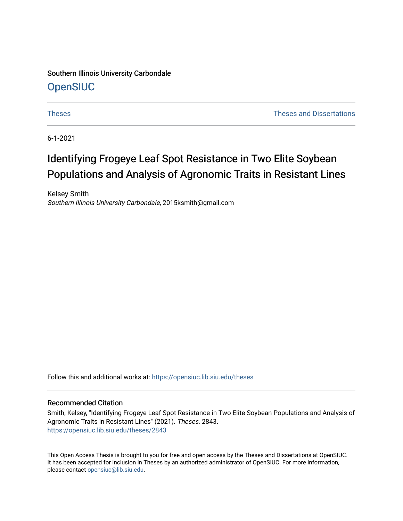Southern Illinois University Carbondale **OpenSIUC** 

[Theses](https://opensiuc.lib.siu.edu/theses) **Theses Theses Theses** and Dissertations **Theses** and Dissertations **Theses** 

6-1-2021

# Identifying Frogeye Leaf Spot Resistance in Two Elite Soybean Populations and Analysis of Agronomic Traits in Resistant Lines

Kelsey Smith Southern Illinois University Carbondale, 2015ksmith@gmail.com

Follow this and additional works at: [https://opensiuc.lib.siu.edu/theses](https://opensiuc.lib.siu.edu/theses?utm_source=opensiuc.lib.siu.edu%2Ftheses%2F2843&utm_medium=PDF&utm_campaign=PDFCoverPages)

# Recommended Citation

Smith, Kelsey, "Identifying Frogeye Leaf Spot Resistance in Two Elite Soybean Populations and Analysis of Agronomic Traits in Resistant Lines" (2021). Theses. 2843. [https://opensiuc.lib.siu.edu/theses/2843](https://opensiuc.lib.siu.edu/theses/2843?utm_source=opensiuc.lib.siu.edu%2Ftheses%2F2843&utm_medium=PDF&utm_campaign=PDFCoverPages) 

This Open Access Thesis is brought to you for free and open access by the Theses and Dissertations at OpenSIUC. It has been accepted for inclusion in Theses by an authorized administrator of OpenSIUC. For more information, please contact [opensiuc@lib.siu.edu](mailto:opensiuc@lib.siu.edu).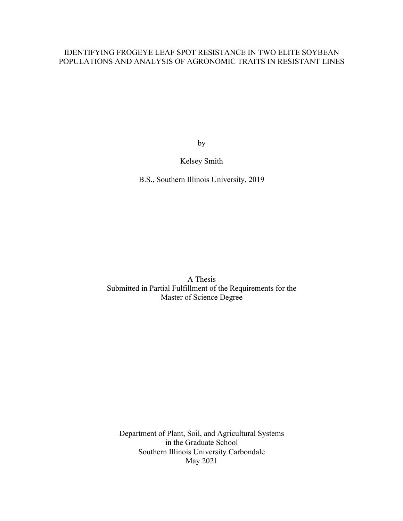# IDENTIFYING FROGEYE LEAF SPOT RESISTANCE IN TWO ELITE SOYBEAN POPULATIONS AND ANALYSIS OF AGRONOMIC TRAITS IN RESISTANT LINES

by

# Kelsey Smith

B.S., Southern Illinois University, 2019

A Thesis Submitted in Partial Fulfillment of the Requirements for the Master of Science Degree

Department of Plant, Soil, and Agricultural Systems in the Graduate School Southern Illinois University Carbondale May 2021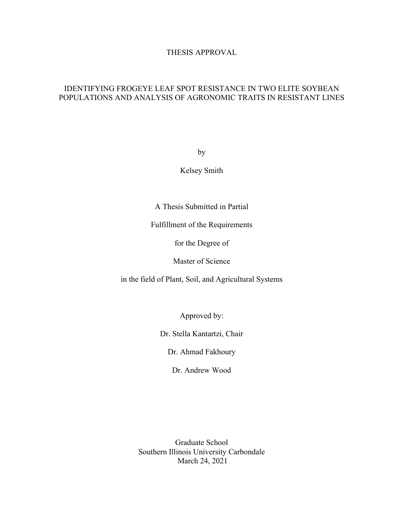# THESIS APPROVAL

# IDENTIFYING FROGEYE LEAF SPOT RESISTANCE IN TWO ELITE SOYBEAN POPULATIONS AND ANALYSIS OF AGRONOMIC TRAITS IN RESISTANT LINES

by

Kelsey Smith

A Thesis Submitted in Partial

Fulfillment of the Requirements

for the Degree of

Master of Science

in the field of Plant, Soil, and Agricultural Systems

Approved by:

Dr. Stella Kantartzi, Chair

Dr. Ahmad Fakhoury

Dr. Andrew Wood

Graduate School Southern Illinois University Carbondale March 24, 2021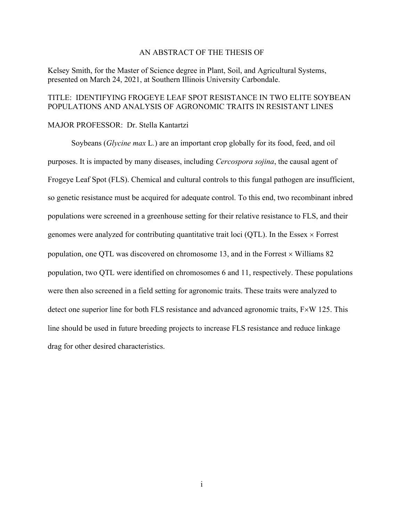# AN ABSTRACT OF THE THESIS OF

Kelsey Smith, for the Master of Science degree in Plant, Soil, and Agricultural Systems, presented on March 24, 2021, at Southern Illinois University Carbondale.

# TITLE: IDENTIFYING FROGEYE LEAF SPOT RESISTANCE IN TWO ELITE SOYBEAN POPULATIONS AND ANALYSIS OF AGRONOMIC TRAITS IN RESISTANT LINES

### MAJOR PROFESSOR: Dr. Stella Kantartzi

Soybeans (*Glycine max* L*.*) are an important crop globally for its food, feed, and oil purposes. It is impacted by many diseases, including *Cercospora sojina*, the causal agent of Frogeye Leaf Spot (FLS). Chemical and cultural controls to this fungal pathogen are insufficient, so genetic resistance must be acquired for adequate control. To this end, two recombinant inbred populations were screened in a greenhouse setting for their relative resistance to FLS, and their genomes were analyzed for contributing quantitative trait loci (QTL). In the Essex  $\times$  Forrest population, one QTL was discovered on chromosome 13, and in the Forrest  $\times$  Williams 82 population, two QTL were identified on chromosomes 6 and 11, respectively. These populations were then also screened in a field setting for agronomic traits. These traits were analyzed to detect one superior line for both FLS resistance and advanced agronomic traits,  $F\times W$  125. This line should be used in future breeding projects to increase FLS resistance and reduce linkage drag for other desired characteristics.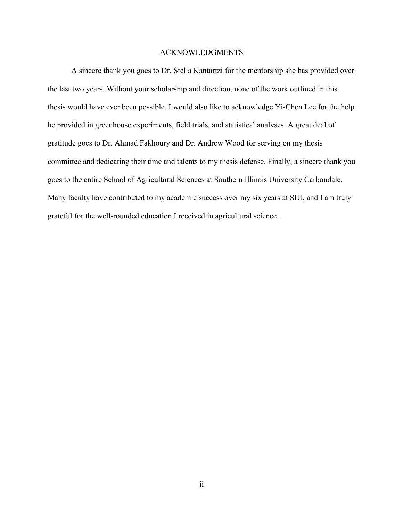### ACKNOWLEDGMENTS

A sincere thank you goes to Dr. Stella Kantartzi for the mentorship she has provided over the last two years. Without your scholarship and direction, none of the work outlined in this thesis would have ever been possible. I would also like to acknowledge Yi-Chen Lee for the help he provided in greenhouse experiments, field trials, and statistical analyses. A great deal of gratitude goes to Dr. Ahmad Fakhoury and Dr. Andrew Wood for serving on my thesis committee and dedicating their time and talents to my thesis defense. Finally, a sincere thank you goes to the entire School of Agricultural Sciences at Southern Illinois University Carbondale. Many faculty have contributed to my academic success over my six years at SIU, and I am truly grateful for the well-rounded education I received in agricultural science.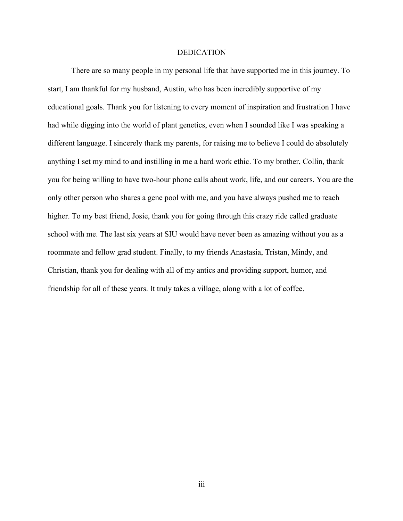# DEDICATION

There are so many people in my personal life that have supported me in this journey. To start, I am thankful for my husband, Austin, who has been incredibly supportive of my educational goals. Thank you for listening to every moment of inspiration and frustration I have had while digging into the world of plant genetics, even when I sounded like I was speaking a different language. I sincerely thank my parents, for raising me to believe I could do absolutely anything I set my mind to and instilling in me a hard work ethic. To my brother, Collin, thank you for being willing to have two-hour phone calls about work, life, and our careers. You are the only other person who shares a gene pool with me, and you have always pushed me to reach higher. To my best friend, Josie, thank you for going through this crazy ride called graduate school with me. The last six years at SIU would have never been as amazing without you as a roommate and fellow grad student. Finally, to my friends Anastasia, Tristan, Mindy, and Christian, thank you for dealing with all of my antics and providing support, humor, and friendship for all of these years. It truly takes a village, along with a lot of coffee.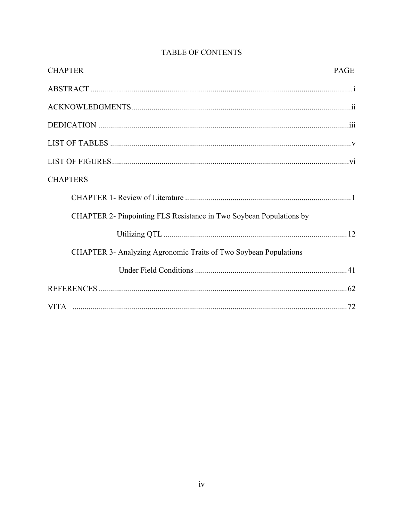| <b>CHAPTER</b><br><b>PAGE</b>                                       |
|---------------------------------------------------------------------|
|                                                                     |
|                                                                     |
|                                                                     |
|                                                                     |
|                                                                     |
| <b>CHAPTERS</b>                                                     |
|                                                                     |
| CHAPTER 2- Pinpointing FLS Resistance in Two Soybean Populations by |
|                                                                     |
| CHAPTER 3- Analyzing Agronomic Traits of Two Soybean Populations    |
|                                                                     |
|                                                                     |
|                                                                     |

# TABLE OF CONTENTS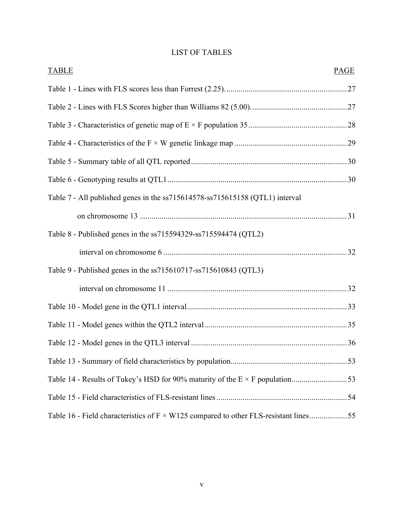# LIST OF TABLES

| <b>TABLE</b>                                                                                | PAGE |
|---------------------------------------------------------------------------------------------|------|
|                                                                                             |      |
|                                                                                             |      |
|                                                                                             |      |
|                                                                                             |      |
|                                                                                             |      |
|                                                                                             |      |
| Table 7 - All published genes in the ss715614578-ss715615158 (QTL1) interval                |      |
|                                                                                             |      |
| Table 8 - Published genes in the ss715594329-ss715594474 (QTL2)                             |      |
|                                                                                             |      |
| Table 9 - Published genes in the ss715610717-ss715610843 (QTL3)                             |      |
|                                                                                             |      |
|                                                                                             |      |
|                                                                                             |      |
|                                                                                             |      |
|                                                                                             |      |
|                                                                                             |      |
|                                                                                             |      |
| Table 16 - Field characteristics of $F \times W125$ compared to other FLS-resistant lines55 |      |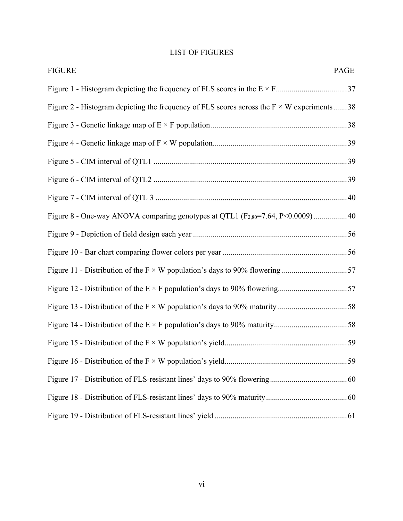# LIST OF FIGURES

| <b>FIGURE</b><br>PAGE                                                                            |  |
|--------------------------------------------------------------------------------------------------|--|
|                                                                                                  |  |
| Figure 2 - Histogram depicting the frequency of FLS scores across the $F \times W$ experiments38 |  |
|                                                                                                  |  |
|                                                                                                  |  |
|                                                                                                  |  |
|                                                                                                  |  |
|                                                                                                  |  |
| Figure 8 - One-way ANOVA comparing genotypes at QTL1 (F <sub>2,80</sub> =7.64, P<0.0009)40       |  |
|                                                                                                  |  |
|                                                                                                  |  |
| Figure 11 - Distribution of the $F \times W$ population's days to 90% flowering 57               |  |
|                                                                                                  |  |
|                                                                                                  |  |
|                                                                                                  |  |
|                                                                                                  |  |
|                                                                                                  |  |
|                                                                                                  |  |
|                                                                                                  |  |
|                                                                                                  |  |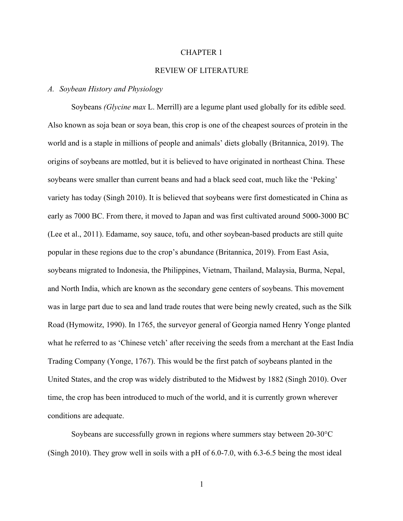#### CHAPTER 1

# REVIEW OF LITERATURE

# *A. Soybean History and Physiology*

Soybeans *(Glycine max* L. Merrill) are a legume plant used globally for its edible seed. Also known as soja bean or soya bean, this crop is one of the cheapest sources of protein in the world and is a staple in millions of people and animals' diets globally (Britannica, 2019). The origins of soybeans are mottled, but it is believed to have originated in northeast China. These soybeans were smaller than current beans and had a black seed coat, much like the 'Peking' variety has today (Singh 2010). It is believed that soybeans were first domesticated in China as early as 7000 BC. From there, it moved to Japan and was first cultivated around 5000-3000 BC (Lee et al., 2011). Edamame, soy sauce, tofu, and other soybean-based products are still quite popular in these regions due to the crop's abundance (Britannica, 2019). From East Asia, soybeans migrated to Indonesia, the Philippines, Vietnam, Thailand, Malaysia, Burma, Nepal, and North India, which are known as the secondary gene centers of soybeans. This movement was in large part due to sea and land trade routes that were being newly created, such as the Silk Road (Hymowitz, 1990). In 1765, the surveyor general of Georgia named Henry Yonge planted what he referred to as 'Chinese vetch' after receiving the seeds from a merchant at the East India Trading Company (Yonge, 1767). This would be the first patch of soybeans planted in the United States, and the crop was widely distributed to the Midwest by 1882 (Singh 2010). Over time, the crop has been introduced to much of the world, and it is currently grown wherever conditions are adequate.

Soybeans are successfully grown in regions where summers stay between 20-30°C (Singh 2010). They grow well in soils with a pH of 6.0-7.0, with 6.3-6.5 being the most ideal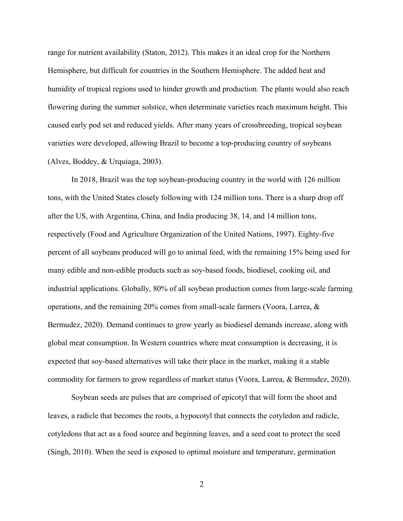range for nutrient availability (Staton, 2012). This makes it an ideal crop for the Northern Hemisphere, but difficult for countries in the Southern Hemisphere. The added heat and humidity of tropical regions used to hinder growth and production. The plants would also reach flowering during the summer solstice, when determinate varieties reach maximum height. This caused early pod set and reduced yields. After many years of crossbreeding, tropical soybean varieties were developed, allowing Brazil to become a top-producing country of soybeans (Alves, Boddey, & Urquiaga, 2003).

In 2018, Brazil was the top soybean-producing country in the world with 126 million tons, with the United States closely following with 124 million tons. There is a sharp drop off after the US, with Argentina, China, and India producing 38, 14, and 14 million tons, respectively (Food and Agriculture Organization of the United Nations, 1997). Eighty-five percent of all soybeans produced will go to animal feed, with the remaining 15% being used for many edible and non-edible products such as soy-based foods, biodiesel, cooking oil, and industrial applications. Globally, 80% of all soybean production comes from large-scale farming operations, and the remaining 20% comes from small-scale farmers (Voora, Larrea, & Bermudez, 2020). Demand continues to grow yearly as biodiesel demands increase, along with global meat consumption. In Western countries where meat consumption is decreasing, it is expected that soy-based alternatives will take their place in the market, making it a stable commodity for farmers to grow regardless of market status (Voora, Larrea, & Bermudez, 2020).

Soybean seeds are pulses that are comprised of epicotyl that will form the shoot and leaves, a radicle that becomes the roots, a hypocotyl that connects the cotyledon and radicle, cotyledons that act as a food source and beginning leaves, and a seed coat to protect the seed (Singh, 2010). When the seed is exposed to optimal moisture and temperature, germination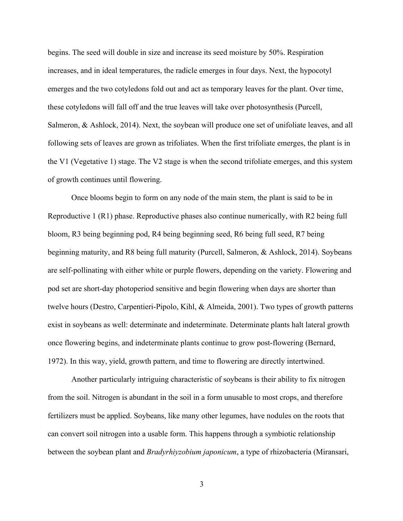begins. The seed will double in size and increase its seed moisture by 50%. Respiration increases, and in ideal temperatures, the radicle emerges in four days. Next, the hypocotyl emerges and the two cotyledons fold out and act as temporary leaves for the plant. Over time, these cotyledons will fall off and the true leaves will take over photosynthesis (Purcell, Salmeron, & Ashlock, 2014). Next, the soybean will produce one set of unifoliate leaves, and all following sets of leaves are grown as trifoliates. When the first trifoliate emerges, the plant is in the V1 (Vegetative 1) stage. The V2 stage is when the second trifoliate emerges, and this system of growth continues until flowering.

Once blooms begin to form on any node of the main stem, the plant is said to be in Reproductive 1 (R1) phase. Reproductive phases also continue numerically, with R2 being full bloom, R3 being beginning pod, R4 being beginning seed, R6 being full seed, R7 being beginning maturity, and R8 being full maturity (Purcell, Salmeron, & Ashlock, 2014). Soybeans are self-pollinating with either white or purple flowers, depending on the variety. Flowering and pod set are short-day photoperiod sensitive and begin flowering when days are shorter than twelve hours (Destro, Carpentieri-Pipolo, Kihl, & Almeida, 2001). Two types of growth patterns exist in soybeans as well: determinate and indeterminate. Determinate plants halt lateral growth once flowering begins, and indeterminate plants continue to grow post-flowering (Bernard, 1972). In this way, yield, growth pattern, and time to flowering are directly intertwined.

Another particularly intriguing characteristic of soybeans is their ability to fix nitrogen from the soil. Nitrogen is abundant in the soil in a form unusable to most crops, and therefore fertilizers must be applied. Soybeans, like many other legumes, have nodules on the roots that can convert soil nitrogen into a usable form. This happens through a symbiotic relationship between the soybean plant and *Bradyrhiyzobium japonicum*, a type of rhizobacteria (Miransari,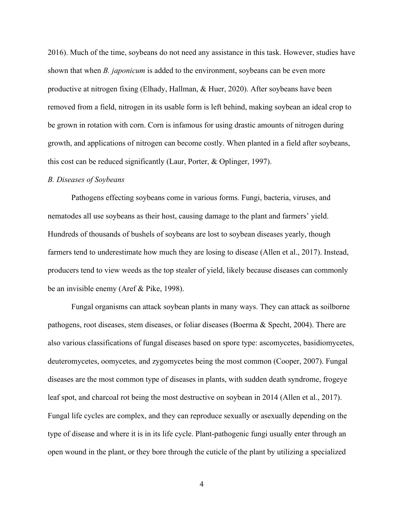2016). Much of the time, soybeans do not need any assistance in this task. However, studies have shown that when *B. japonicum* is added to the environment, soybeans can be even more productive at nitrogen fixing (Elhady, Hallman, & Huer, 2020). After soybeans have been removed from a field, nitrogen in its usable form is left behind, making soybean an ideal crop to be grown in rotation with corn. Corn is infamous for using drastic amounts of nitrogen during growth, and applications of nitrogen can become costly. When planted in a field after soybeans, this cost can be reduced significantly (Laur, Porter, & Oplinger, 1997).

#### *B. Diseases of Soybeans*

Pathogens effecting soybeans come in various forms. Fungi, bacteria, viruses, and nematodes all use soybeans as their host, causing damage to the plant and farmers' yield. Hundreds of thousands of bushels of soybeans are lost to soybean diseases yearly, though farmers tend to underestimate how much they are losing to disease (Allen et al., 2017). Instead, producers tend to view weeds as the top stealer of yield, likely because diseases can commonly be an invisible enemy (Aref & Pike, 1998).

Fungal organisms can attack soybean plants in many ways. They can attack as soilborne pathogens, root diseases, stem diseases, or foliar diseases (Boerma & Specht, 2004). There are also various classifications of fungal diseases based on spore type: ascomycetes, basidiomycetes, deuteromycetes, oomycetes, and zygomycetes being the most common (Cooper, 2007). Fungal diseases are the most common type of diseases in plants, with sudden death syndrome, frogeye leaf spot, and charcoal rot being the most destructive on soybean in 2014 (Allen et al., 2017). Fungal life cycles are complex, and they can reproduce sexually or asexually depending on the type of disease and where it is in its life cycle. Plant-pathogenic fungi usually enter through an open wound in the plant, or they bore through the cuticle of the plant by utilizing a specialized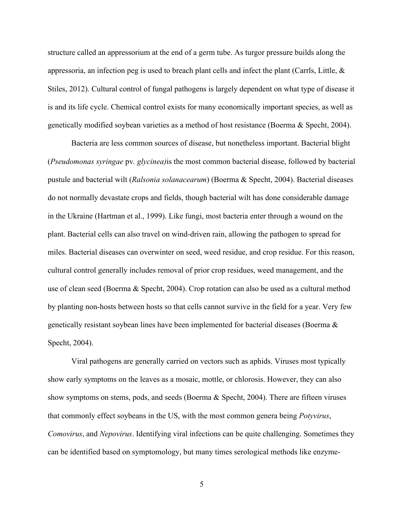structure called an appressorium at the end of a germ tube. As turgor pressure builds along the appressoria, an infection peg is used to breach plant cells and infect the plant (Carrls, Little,  $\&$ Stiles, 2012). Cultural control of fungal pathogens is largely dependent on what type of disease it is and its life cycle. Chemical control exists for many economically important species, as well as genetically modified soybean varieties as a method of host resistance (Boerma & Specht, 2004).

Bacteria are less common sources of disease, but nonetheless important. Bacterial blight (*Pseudomonas syringae* pv*. glycinea)*is the most common bacterial disease, followed by bacterial pustule and bacterial wilt (*Ralsonia solanacearum*) (Boerma & Specht, 2004). Bacterial diseases do not normally devastate crops and fields, though bacterial wilt has done considerable damage in the Ukraine (Hartman et al., 1999). Like fungi, most bacteria enter through a wound on the plant. Bacterial cells can also travel on wind-driven rain, allowing the pathogen to spread for miles. Bacterial diseases can overwinter on seed, weed residue, and crop residue. For this reason, cultural control generally includes removal of prior crop residues, weed management, and the use of clean seed (Boerma & Specht, 2004). Crop rotation can also be used as a cultural method by planting non-hosts between hosts so that cells cannot survive in the field for a year. Very few genetically resistant soybean lines have been implemented for bacterial diseases (Boerma & Specht, 2004).

Viral pathogens are generally carried on vectors such as aphids. Viruses most typically show early symptoms on the leaves as a mosaic, mottle, or chlorosis. However, they can also show symptoms on stems, pods, and seeds (Boerma & Specht, 2004). There are fifteen viruses that commonly effect soybeans in the US, with the most common genera being *Potyvirus*, *Comovirus*, and *Nepovirus*. Identifying viral infections can be quite challenging. Sometimes they can be identified based on symptomology, but many times serological methods like enzyme-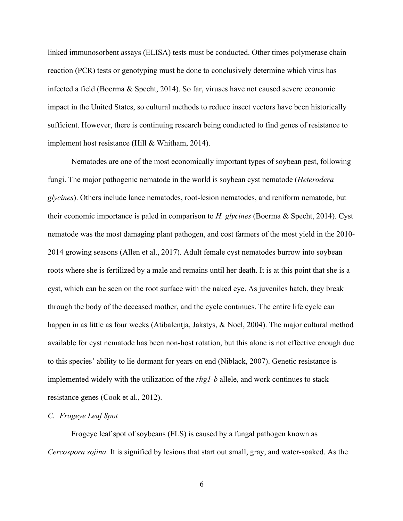linked immunosorbent assays (ELISA) tests must be conducted. Other times polymerase chain reaction (PCR) tests or genotyping must be done to conclusively determine which virus has infected a field (Boerma & Specht, 2014). So far, viruses have not caused severe economic impact in the United States, so cultural methods to reduce insect vectors have been historically sufficient. However, there is continuing research being conducted to find genes of resistance to implement host resistance (Hill & Whitham, 2014).

Nematodes are one of the most economically important types of soybean pest, following fungi. The major pathogenic nematode in the world is soybean cyst nematode (*Heterodera glycines*). Others include lance nematodes, root-lesion nematodes, and reniform nematode, but their economic importance is paled in comparison to *H. glycines* (Boerma & Specht, 2014). Cyst nematode was the most damaging plant pathogen, and cost farmers of the most yield in the 2010- 2014 growing seasons (Allen et al., 2017). Adult female cyst nematodes burrow into soybean roots where she is fertilized by a male and remains until her death. It is at this point that she is a cyst, which can be seen on the root surface with the naked eye. As juveniles hatch, they break through the body of the deceased mother, and the cycle continues. The entire life cycle can happen in as little as four weeks (Atibalentja, Jakstys, & Noel, 2004). The major cultural method available for cyst nematode has been non-host rotation, but this alone is not effective enough due to this species' ability to lie dormant for years on end (Niblack, 2007). Genetic resistance is implemented widely with the utilization of the *rhg1-b* allele, and work continues to stack resistance genes (Cook et al., 2012).

# *C. Frogeye Leaf Spot*

Frogeye leaf spot of soybeans (FLS) is caused by a fungal pathogen known as *Cercospora sojina.* It is signified by lesions that start out small, gray, and water-soaked. As the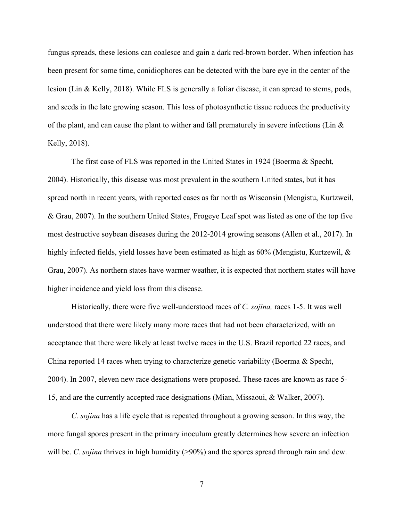fungus spreads, these lesions can coalesce and gain a dark red-brown border. When infection has been present for some time, conidiophores can be detected with the bare eye in the center of the lesion (Lin & Kelly, 2018). While FLS is generally a foliar disease, it can spread to stems, pods, and seeds in the late growing season. This loss of photosynthetic tissue reduces the productivity of the plant, and can cause the plant to wither and fall prematurely in severe infections (Lin & Kelly, 2018).

The first case of FLS was reported in the United States in 1924 (Boerma & Specht, 2004). Historically, this disease was most prevalent in the southern United states, but it has spread north in recent years, with reported cases as far north as Wisconsin (Mengistu, Kurtzweil, & Grau, 2007). In the southern United States, Frogeye Leaf spot was listed as one of the top five most destructive soybean diseases during the 2012-2014 growing seasons (Allen et al., 2017). In highly infected fields, yield losses have been estimated as high as 60% (Mengistu, Kurtzewil, & Grau, 2007). As northern states have warmer weather, it is expected that northern states will have higher incidence and yield loss from this disease.

Historically, there were five well-understood races of *C. sojina,* races 1-5. It was well understood that there were likely many more races that had not been characterized, with an acceptance that there were likely at least twelve races in the U.S. Brazil reported 22 races, and China reported 14 races when trying to characterize genetic variability (Boerma & Specht, 2004). In 2007, eleven new race designations were proposed. These races are known as race 5- 15, and are the currently accepted race designations (Mian, Missaoui, & Walker, 2007).

*C. sojina* has a life cycle that is repeated throughout a growing season. In this way, the more fungal spores present in the primary inoculum greatly determines how severe an infection will be. *C. sojina* thrives in high humidity (>90%) and the spores spread through rain and dew.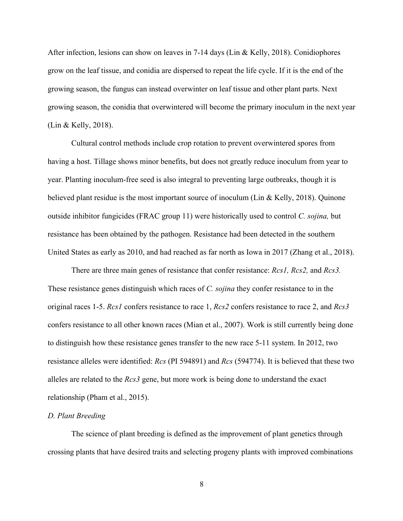After infection, lesions can show on leaves in 7-14 days (Lin & Kelly, 2018). Conidiophores grow on the leaf tissue, and conidia are dispersed to repeat the life cycle. If it is the end of the growing season, the fungus can instead overwinter on leaf tissue and other plant parts. Next growing season, the conidia that overwintered will become the primary inoculum in the next year (Lin & Kelly, 2018).

Cultural control methods include crop rotation to prevent overwintered spores from having a host. Tillage shows minor benefits, but does not greatly reduce inoculum from year to year. Planting inoculum-free seed is also integral to preventing large outbreaks, though it is believed plant residue is the most important source of inoculum (Lin & Kelly, 2018). Quinone outside inhibitor fungicides (FRAC group 11) were historically used to control *C. sojina,* but resistance has been obtained by the pathogen. Resistance had been detected in the southern United States as early as 2010, and had reached as far north as Iowa in 2017 (Zhang et al., 2018).

There are three main genes of resistance that confer resistance: *Rcs1, Rcs2,* and *Rcs3.*  These resistance genes distinguish which races of *C. sojina* they confer resistance to in the original races 1-5. *Rcs1* confers resistance to race 1, *Rcs2* confers resistance to race 2, and *Rcs3* confers resistance to all other known races (Mian et al., 2007). Work is still currently being done to distinguish how these resistance genes transfer to the new race 5-11 system. In 2012, two resistance alleles were identified: *Rcs* (PI 594891) and *Rcs* (594774). It is believed that these two alleles are related to the *Rcs3* gene, but more work is being done to understand the exact relationship (Pham et al., 2015).

# *D. Plant Breeding*

The science of plant breeding is defined as the improvement of plant genetics through crossing plants that have desired traits and selecting progeny plants with improved combinations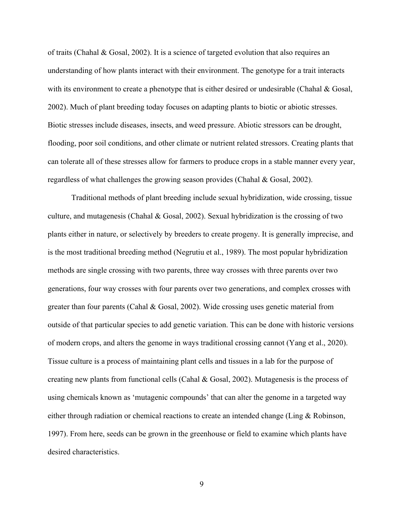of traits (Chahal & Gosal, 2002). It is a science of targeted evolution that also requires an understanding of how plants interact with their environment. The genotype for a trait interacts with its environment to create a phenotype that is either desired or undesirable (Chahal & Gosal, 2002). Much of plant breeding today focuses on adapting plants to biotic or abiotic stresses. Biotic stresses include diseases, insects, and weed pressure. Abiotic stressors can be drought, flooding, poor soil conditions, and other climate or nutrient related stressors. Creating plants that can tolerate all of these stresses allow for farmers to produce crops in a stable manner every year, regardless of what challenges the growing season provides (Chahal & Gosal, 2002).

Traditional methods of plant breeding include sexual hybridization, wide crossing, tissue culture, and mutagenesis (Chahal & Gosal, 2002). Sexual hybridization is the crossing of two plants either in nature, or selectively by breeders to create progeny. It is generally imprecise, and is the most traditional breeding method (Negrutiu et al., 1989). The most popular hybridization methods are single crossing with two parents, three way crosses with three parents over two generations, four way crosses with four parents over two generations, and complex crosses with greater than four parents (Cahal & Gosal, 2002). Wide crossing uses genetic material from outside of that particular species to add genetic variation. This can be done with historic versions of modern crops, and alters the genome in ways traditional crossing cannot (Yang et al., 2020). Tissue culture is a process of maintaining plant cells and tissues in a lab for the purpose of creating new plants from functional cells (Cahal & Gosal, 2002). Mutagenesis is the process of using chemicals known as 'mutagenic compounds' that can alter the genome in a targeted way either through radiation or chemical reactions to create an intended change (Ling & Robinson, 1997). From here, seeds can be grown in the greenhouse or field to examine which plants have desired characteristics.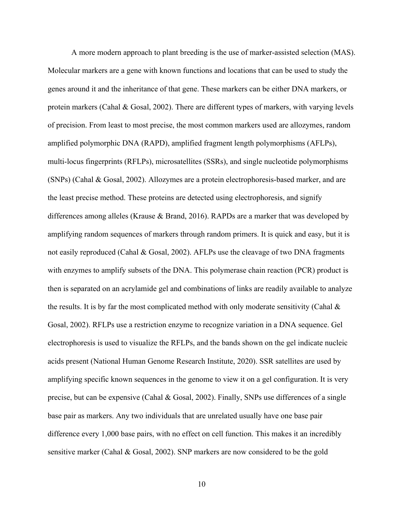A more modern approach to plant breeding is the use of marker-assisted selection (MAS). Molecular markers are a gene with known functions and locations that can be used to study the genes around it and the inheritance of that gene. These markers can be either DNA markers, or protein markers (Cahal & Gosal, 2002). There are different types of markers, with varying levels of precision. From least to most precise, the most common markers used are allozymes, random amplified polymorphic DNA (RAPD), amplified fragment length polymorphisms (AFLPs), multi-locus fingerprints (RFLPs), microsatellites (SSRs), and single nucleotide polymorphisms (SNPs) (Cahal & Gosal, 2002). Allozymes are a protein electrophoresis-based marker, and are the least precise method. These proteins are detected using electrophoresis, and signify differences among alleles (Krause & Brand, 2016). RAPDs are a marker that was developed by amplifying random sequences of markers through random primers. It is quick and easy, but it is not easily reproduced (Cahal & Gosal, 2002). AFLPs use the cleavage of two DNA fragments with enzymes to amplify subsets of the DNA. This polymerase chain reaction (PCR) product is then is separated on an acrylamide gel and combinations of links are readily available to analyze the results. It is by far the most complicated method with only moderate sensitivity (Cahal  $\&$ Gosal, 2002). RFLPs use a restriction enzyme to recognize variation in a DNA sequence. Gel electrophoresis is used to visualize the RFLPs, and the bands shown on the gel indicate nucleic acids present (National Human Genome Research Institute, 2020). SSR satellites are used by amplifying specific known sequences in the genome to view it on a gel configuration. It is very precise, but can be expensive (Cahal & Gosal, 2002). Finally, SNPs use differences of a single base pair as markers. Any two individuals that are unrelated usually have one base pair difference every 1,000 base pairs, with no effect on cell function. This makes it an incredibly sensitive marker (Cahal & Gosal, 2002). SNP markers are now considered to be the gold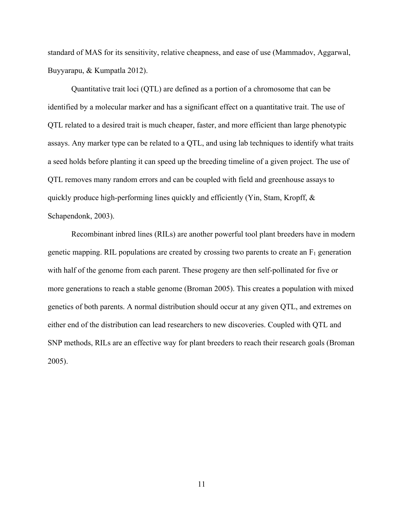standard of MAS for its sensitivity, relative cheapness, and ease of use (Mammadov, Aggarwal, Buyyarapu, & Kumpatla 2012).

Quantitative trait loci (QTL) are defined as a portion of a chromosome that can be identified by a molecular marker and has a significant effect on a quantitative trait. The use of QTL related to a desired trait is much cheaper, faster, and more efficient than large phenotypic assays. Any marker type can be related to a QTL, and using lab techniques to identify what traits a seed holds before planting it can speed up the breeding timeline of a given project. The use of QTL removes many random errors and can be coupled with field and greenhouse assays to quickly produce high-performing lines quickly and efficiently (Yin, Stam, Kropff, & Schapendonk, 2003).

Recombinant inbred lines (RILs) are another powerful tool plant breeders have in modern genetic mapping. RIL populations are created by crossing two parents to create an  $F_1$  generation with half of the genome from each parent. These progeny are then self-pollinated for five or more generations to reach a stable genome (Broman 2005). This creates a population with mixed genetics of both parents. A normal distribution should occur at any given QTL, and extremes on either end of the distribution can lead researchers to new discoveries. Coupled with QTL and SNP methods, RILs are an effective way for plant breeders to reach their research goals (Broman 2005).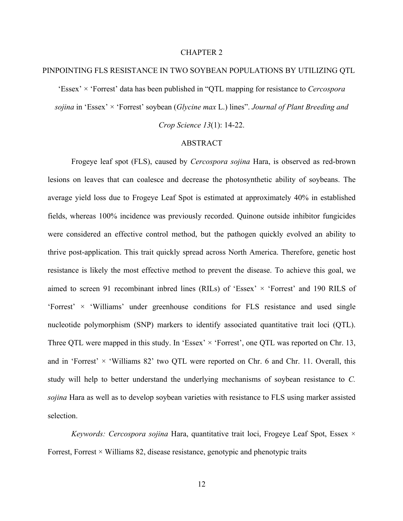#### CHAPTER 2

# PINPOINTING FLS RESISTANCE IN TWO SOYBEAN POPULATIONS BY UTILIZING QTL

'Essex' × 'Forrest' data has been published in "QTL mapping for resistance to *Cercospora* 

*sojina* in 'Essex' × 'Forrest' soybean (*Glycine max* L.) lines". *Journal of Plant Breeding and* 

*Crop Science 13*(1): 14-22.

# ABSTRACT

Frogeye leaf spot (FLS), caused by *Cercospora sojina* Hara, is observed as red-brown lesions on leaves that can coalesce and decrease the photosynthetic ability of soybeans. The average yield loss due to Frogeye Leaf Spot is estimated at approximately 40% in established fields, whereas 100% incidence was previously recorded. Quinone outside inhibitor fungicides were considered an effective control method, but the pathogen quickly evolved an ability to thrive post-application. This trait quickly spread across North America. Therefore, genetic host resistance is likely the most effective method to prevent the disease. To achieve this goal, we aimed to screen 91 recombinant inbred lines (RILs) of 'Essex'  $\times$  'Forrest' and 190 RILS of 'Forrest'  $\times$  'Williams' under greenhouse conditions for FLS resistance and used single nucleotide polymorphism (SNP) markers to identify associated quantitative trait loci (QTL). Three QTL were mapped in this study. In 'Essex'  $\times$  'Forrest', one QTL was reported on Chr. 13, and in 'Forrest'  $\times$  'Williams 82' two QTL were reported on Chr. 6 and Chr. 11. Overall, this study will help to better understand the underlying mechanisms of soybean resistance to *C. sojina* Hara as well as to develop soybean varieties with resistance to FLS using marker assisted selection.

*Keywords: Cercospora sojina* Hara, quantitative trait loci, Frogeye Leaf Spot, Essex × Forrest, Forrest  $\times$  Williams 82, disease resistance, genotypic and phenotypic traits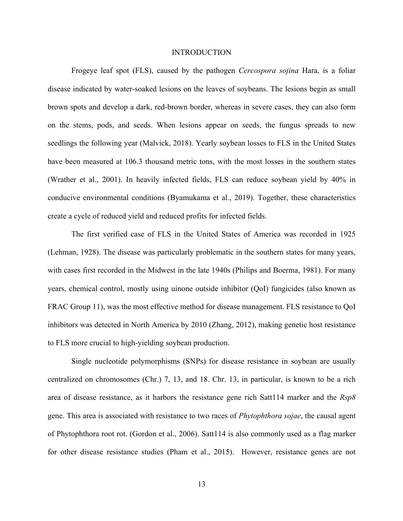### **INTRODUCTION**

Frogeye leaf spot (FLS), caused by the pathogen *Cercospora sojina* Hara, is a foliar disease indicated by water-soaked lesions on the leaves of soybeans. The lesions begin as small brown spots and develop a dark, red-brown border, whereas in severe cases, they can also form on the stems, pods, and seeds. When lesions appear on seeds, the fungus spreads to new seedlings the following year (Malvick, 2018). Yearly soybean losses to FLS in the United States have been measured at 106.3 thousand metric tons, with the most losses in the southern states (Wrather et al., 2001). In heavily infected fields, FLS can reduce soybean yield by 40% in conducive environmental conditions (Byamukama et al., 2019). Together, these characteristics create a cycle of reduced yield and reduced profits for infected fields.

The first verified case of FLS in the United States of America was recorded in 1925 (Lehman, 1928). The disease was particularly problematic in the southern states for many years, with cases first recorded in the Midwest in the late 1940s (Philips and Boerma, 1981). For many years, chemical control, mostly using uinone outside inhibitor (QoI) fungicides (also known as FRAC Group 11), was the most effective method for disease management. FLS resistance to QoI inhibitors was detected in North America by 2010 (Zhang, 2012), making genetic host resistance to FLS more crucial to high-yielding soybean production.

Single nucleotide polymorphisms (SNPs) for disease resistance in soybean are usually centralized on chromosomes (Chr.) 7, 13, and 18. Chr. 13, in particular, is known to be a rich area of disease resistance, as it harbors the resistance gene rich Satt114 marker and the *Rsp8* gene. This area is associated with resistance to two races of *Phytophthora sojae*, the causal agent of Phytophthora root rot. (Gordon et al., 2006). Satt114 is also commonly used as a flag marker for other disease resistance studies (Pham et al., 2015). However, resistance genes are not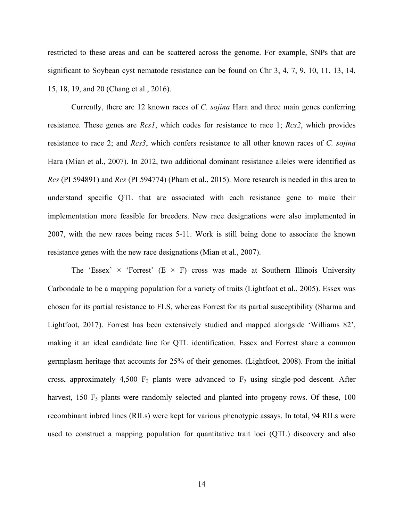restricted to these areas and can be scattered across the genome. For example, SNPs that are significant to Soybean cyst nematode resistance can be found on Chr 3, 4, 7, 9, 10, 11, 13, 14, 15, 18, 19, and 20 (Chang et al., 2016).

Currently, there are 12 known races of *C. sojina* Hara and three main genes conferring resistance. These genes are *Rcs1*, which codes for resistance to race 1; *Rcs2*, which provides resistance to race 2; and *Rcs3*, which confers resistance to all other known races of *C. sojina* Hara (Mian et al., 2007). In 2012, two additional dominant resistance alleles were identified as *Rcs* (PI 594891) and *Rcs* (PI 594774) (Pham et al., 2015). More research is needed in this area to understand specific QTL that are associated with each resistance gene to make their implementation more feasible for breeders. New race designations were also implemented in 2007, with the new races being races 5-11. Work is still being done to associate the known resistance genes with the new race designations (Mian et al., 2007).

The 'Essex'  $\times$  'Forrest' (E  $\times$  F) cross was made at Southern Illinois University Carbondale to be a mapping population for a variety of traits (Lightfoot et al., 2005). Essex was chosen for its partial resistance to FLS, whereas Forrest for its partial susceptibility (Sharma and Lightfoot, 2017). Forrest has been extensively studied and mapped alongside 'Williams 82', making it an ideal candidate line for QTL identification. Essex and Forrest share a common germplasm heritage that accounts for 25% of their genomes. (Lightfoot, 2008). From the initial cross, approximately 4,500  $F_2$  plants were advanced to  $F_5$  using single-pod descent. After harvest, 150 F<sub>5</sub> plants were randomly selected and planted into progeny rows. Of these, 100 recombinant inbred lines (RILs) were kept for various phenotypic assays. In total, 94 RILs were used to construct a mapping population for quantitative trait loci (QTL) discovery and also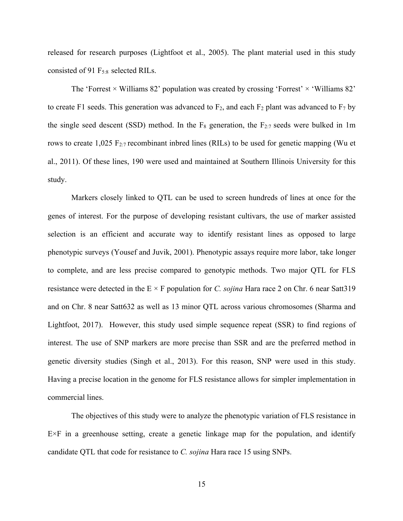released for research purposes (Lightfoot et al., 2005). The plant material used in this study consisted of 91 F5:8 selected RILs.

The 'Forrest  $\times$  Williams 82' population was created by crossing 'Forrest'  $\times$  'Williams 82' to create F1 seeds. This generation was advanced to  $F_2$ , and each  $F_2$  plant was advanced to  $F_7$  by the single seed descent (SSD) method. In the  $F_8$  generation, the  $F_{2:7}$  seeds were bulked in 1m rows to create  $1,025$  F<sub>2:7</sub> recombinant inbred lines (RILs) to be used for genetic mapping (Wu et al., 2011). Of these lines, 190 were used and maintained at Southern Illinois University for this study.

Markers closely linked to QTL can be used to screen hundreds of lines at once for the genes of interest. For the purpose of developing resistant cultivars, the use of marker assisted selection is an efficient and accurate way to identify resistant lines as opposed to large phenotypic surveys (Yousef and Juvik, 2001). Phenotypic assays require more labor, take longer to complete, and are less precise compared to genotypic methods. Two major QTL for FLS resistance were detected in the E × F population for *C. sojina* Hara race 2 on Chr. 6 near Satt319 and on Chr. 8 near Satt632 as well as 13 minor QTL across various chromosomes (Sharma and Lightfoot, 2017). However, this study used simple sequence repeat (SSR) to find regions of interest. The use of SNP markers are more precise than SSR and are the preferred method in genetic diversity studies (Singh et al., 2013). For this reason, SNP were used in this study. Having a precise location in the genome for FLS resistance allows for simpler implementation in commercial lines.

The objectives of this study were to analyze the phenotypic variation of FLS resistance in E×F in a greenhouse setting, create a genetic linkage map for the population, and identify candidate QTL that code for resistance to *C. sojina* Hara race 15 using SNPs.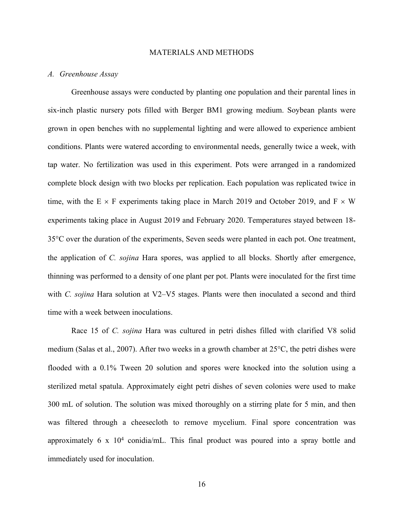# MATERIALS AND METHODS

# *A. Greenhouse Assay*

Greenhouse assays were conducted by planting one population and their parental lines in six-inch plastic nursery pots filled with Berger BM1 growing medium. Soybean plants were grown in open benches with no supplemental lighting and were allowed to experience ambient conditions. Plants were watered according to environmental needs, generally twice a week, with tap water. No fertilization was used in this experiment. Pots were arranged in a randomized complete block design with two blocks per replication. Each population was replicated twice in time, with the  $E \times F$  experiments taking place in March 2019 and October 2019, and  $F \times W$ experiments taking place in August 2019 and February 2020. Temperatures stayed between 18- 35°C over the duration of the experiments, Seven seeds were planted in each pot. One treatment, the application of *C. sojina* Hara spores, was applied to all blocks. Shortly after emergence, thinning was performed to a density of one plant per pot. Plants were inoculated for the first time with *C. sojina* Hara solution at V2–V5 stages. Plants were then inoculated a second and third time with a week between inoculations.

Race 15 of *C. sojina* Hara was cultured in petri dishes filled with clarified V8 solid medium (Salas et al., 2007). After two weeks in a growth chamber at 25°C, the petri dishes were flooded with a 0.1% Tween 20 solution and spores were knocked into the solution using a sterilized metal spatula. Approximately eight petri dishes of seven colonies were used to make 300 mL of solution. The solution was mixed thoroughly on a stirring plate for 5 min, and then was filtered through a cheesecloth to remove mycelium. Final spore concentration was approximately  $6 \times 10^4$  conidia/mL. This final product was poured into a spray bottle and immediately used for inoculation.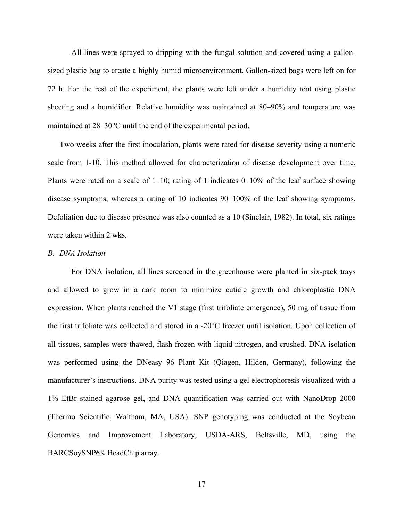All lines were sprayed to dripping with the fungal solution and covered using a gallonsized plastic bag to create a highly humid microenvironment. Gallon-sized bags were left on for 72 h. For the rest of the experiment, the plants were left under a humidity tent using plastic sheeting and a humidifier. Relative humidity was maintained at 80–90% and temperature was maintained at 28–30°C until the end of the experimental period.

Two weeks after the first inoculation, plants were rated for disease severity using a numeric scale from 1-10. This method allowed for characterization of disease development over time. Plants were rated on a scale of  $1-10$ ; rating of 1 indicates  $0-10\%$  of the leaf surface showing disease symptoms, whereas a rating of 10 indicates 90–100% of the leaf showing symptoms. Defoliation due to disease presence was also counted as a 10 (Sinclair, 1982). In total, six ratings were taken within 2 wks.

# *B. DNA Isolation*

For DNA isolation, all lines screened in the greenhouse were planted in six-pack trays and allowed to grow in a dark room to minimize cuticle growth and chloroplastic DNA expression. When plants reached the V1 stage (first trifoliate emergence), 50 mg of tissue from the first trifoliate was collected and stored in a -20°C freezer until isolation. Upon collection of all tissues, samples were thawed, flash frozen with liquid nitrogen, and crushed. DNA isolation was performed using the DNeasy 96 Plant Kit (Qiagen, Hilden, Germany), following the manufacturer's instructions. DNA purity was tested using a gel electrophoresis visualized with a 1% EtBr stained agarose gel, and DNA quantification was carried out with NanoDrop 2000 (Thermo Scientific, Waltham, MA, USA). SNP genotyping was conducted at the Soybean Genomics and Improvement Laboratory, USDA-ARS, Beltsville, MD, using the BARCSoySNP6K BeadChip array.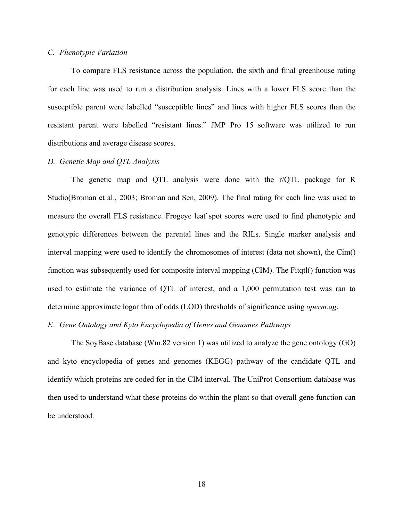# *C. Phenotypic Variation*

To compare FLS resistance across the population, the sixth and final greenhouse rating for each line was used to run a distribution analysis. Lines with a lower FLS score than the susceptible parent were labelled "susceptible lines" and lines with higher FLS scores than the resistant parent were labelled "resistant lines." JMP Pro 15 software was utilized to run distributions and average disease scores.

#### *D. Genetic Map and QTL Analysis*

The genetic map and QTL analysis were done with the r/QTL package for R Studio(Broman et al., 2003; Broman and Sen, 2009). The final rating for each line was used to measure the overall FLS resistance. Frogeye leaf spot scores were used to find phenotypic and genotypic differences between the parental lines and the RILs. Single marker analysis and interval mapping were used to identify the chromosomes of interest (data not shown), the Cim() function was subsequently used for composite interval mapping (CIM). The Fitqtl() function was used to estimate the variance of QTL of interest, and a 1,000 permutation test was ran to determine approximate logarithm of odds (LOD) thresholds of significance using *operm.ag*.

# *E. Gene Ontology and Kyto Encyclopedia of Genes and Genomes Pathways*

The SoyBase database (Wm.82 version 1) was utilized to analyze the gene ontology (GO) and kyto encyclopedia of genes and genomes (KEGG) pathway of the candidate QTL and identify which proteins are coded for in the CIM interval. The UniProt Consortium database was then used to understand what these proteins do within the plant so that overall gene function can be understood.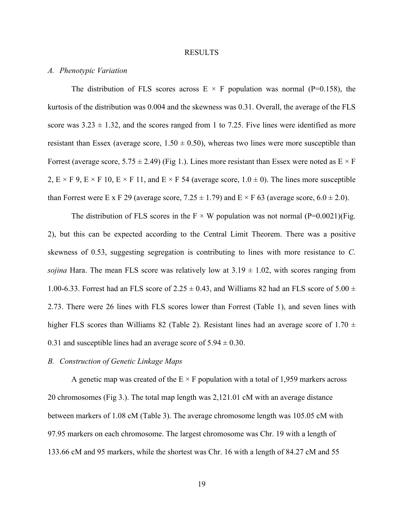#### RESULTS

# *A. Phenotypic Variation*

The distribution of FLS scores across  $E \times F$  population was normal (P=0.158), the kurtosis of the distribution was 0.004 and the skewness was 0.31. Overall, the average of the FLS score was  $3.23 \pm 1.32$ , and the scores ranged from 1 to 7.25. Five lines were identified as more resistant than Essex (average score,  $1.50 \pm 0.50$ ), whereas two lines were more susceptible than Forrest (average score,  $5.75 \pm 2.49$ ) (Fig 1.). Lines more resistant than Essex were noted as  $E \times F$ 2,  $E \times F$  9,  $E \times F$  10,  $E \times F$  11, and  $E \times F$  54 (average score,  $1.0 \pm 0$ ). The lines more susceptible than Forrest were E x F 29 (average score,  $7.25 \pm 1.79$ ) and E  $\times$  F 63 (average score,  $6.0 \pm 2.0$ ).

The distribution of FLS scores in the  $F \times W$  population was not normal (P=0.0021)(Fig. 2), but this can be expected according to the Central Limit Theorem. There was a positive skewness of 0.53, suggesting segregation is contributing to lines with more resistance to *C. sojina* Hara. The mean FLS score was relatively low at  $3.19 \pm 1.02$ , with scores ranging from 1.00-6.33. Forrest had an FLS score of 2.25  $\pm$  0.43, and Williams 82 had an FLS score of 5.00  $\pm$ 2.73. There were 26 lines with FLS scores lower than Forrest (Table 1), and seven lines with higher FLS scores than Williams 82 (Table 2). Resistant lines had an average score of 1.70  $\pm$ 0.31 and susceptible lines had an average score of  $5.94 \pm 0.30$ .

#### *B. Construction of Genetic Linkage Maps*

A genetic map was created of the  $E \times F$  population with a total of 1,959 markers across 20 chromosomes (Fig 3.). The total map length was 2,121.01 cM with an average distance between markers of 1.08 cM (Table 3). The average chromosome length was 105.05 cM with 97.95 markers on each chromosome. The largest chromosome was Chr. 19 with a length of 133.66 cM and 95 markers, while the shortest was Chr. 16 with a length of 84.27 cM and 55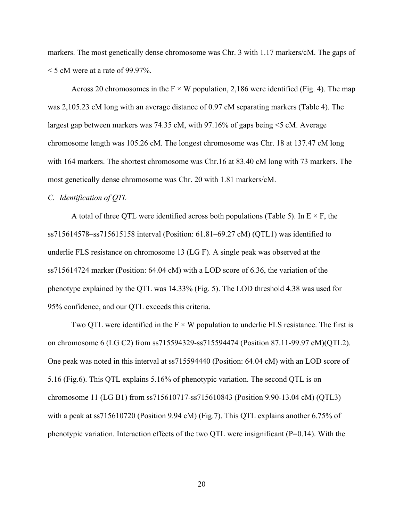markers. The most genetically dense chromosome was Chr. 3 with 1.17 markers/cM. The gaps of  $\leq$  5 cM were at a rate of 99.97%.

Across 20 chromosomes in the  $F \times W$  population, 2,186 were identified (Fig. 4). The map was 2,105.23 cM long with an average distance of 0.97 cM separating markers (Table 4). The largest gap between markers was 74.35 cM, with 97.16% of gaps being <5 cM. Average chromosome length was 105.26 cM. The longest chromosome was Chr. 18 at 137.47 cM long with 164 markers. The shortest chromosome was Chr.16 at 83.40 cM long with 73 markers. The most genetically dense chromosome was Chr. 20 with 1.81 markers/cM.

#### *C. Identification of QTL*

A total of three QTL were identified across both populations (Table 5). In  $E \times F$ , the ss715614578–ss715615158 interval (Position: 61.81–69.27 cM) (QTL1) was identified to underlie FLS resistance on chromosome 13 (LG F). A single peak was observed at the ss715614724 marker (Position: 64.04 cM) with a LOD score of 6.36, the variation of the phenotype explained by the QTL was 14.33% (Fig. 5). The LOD threshold 4.38 was used for 95% confidence, and our QTL exceeds this criteria.

Two QTL were identified in the  $F \times W$  population to underlie FLS resistance. The first is on chromosome 6 (LG C2) from ss715594329-ss715594474 (Position 87.11-99.97 cM)(QTL2). One peak was noted in this interval at ss715594440 (Position: 64.04 cM) with an LOD score of 5.16 (Fig.6). This QTL explains 5.16% of phenotypic variation. The second QTL is on chromosome 11 (LG B1) from ss715610717-ss715610843 (Position 9.90-13.04 cM) (QTL3) with a peak at ss715610720 (Position 9.94 cM) (Fig.7). This QTL explains another 6.75% of phenotypic variation. Interaction effects of the two QTL were insignificant (P=0.14). With the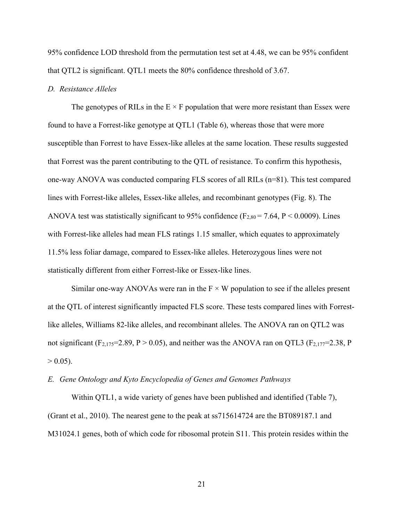95% confidence LOD threshold from the permutation test set at 4.48, we can be 95% confident that QTL2 is significant. QTL1 meets the 80% confidence threshold of 3.67.

#### *D. Resistance Alleles*

The genotypes of RILs in the  $E \times F$  population that were more resistant than Essex were found to have a Forrest-like genotype at QTL1 (Table 6), whereas those that were more susceptible than Forrest to have Essex-like alleles at the same location. These results suggested that Forrest was the parent contributing to the QTL of resistance. To confirm this hypothesis, one-way ANOVA was conducted comparing FLS scores of all RILs (n=81). This test compared lines with Forrest-like alleles, Essex-like alleles, and recombinant genotypes (Fig. 8). The ANOVA test was statistically significant to 95% confidence ( $F_{2,80} = 7.64$ ,  $P < 0.0009$ ). Lines with Forrest-like alleles had mean FLS ratings 1.15 smaller, which equates to approximately 11.5% less foliar damage, compared to Essex-like alleles. Heterozygous lines were not statistically different from either Forrest-like or Essex-like lines.

Similar one-way ANOVAs were ran in the  $F \times W$  population to see if the alleles present at the QTL of interest significantly impacted FLS score. These tests compared lines with Forrestlike alleles, Williams 82-like alleles, and recombinant alleles. The ANOVA ran on QTL2 was not significant (F<sub>2,175</sub>=2.89, P > 0.05), and neither was the ANOVA ran on QTL3 (F<sub>2,177</sub>=2.38, P  $> 0.05$ ).

# *E. Gene Ontology and Kyto Encyclopedia of Genes and Genomes Pathways*

Within QTL1, a wide variety of genes have been published and identified (Table 7), (Grant et al., 2010). The nearest gene to the peak at ss715614724 are the BT089187.1 and M31024.1 genes, both of which code for ribosomal protein S11. This protein resides within the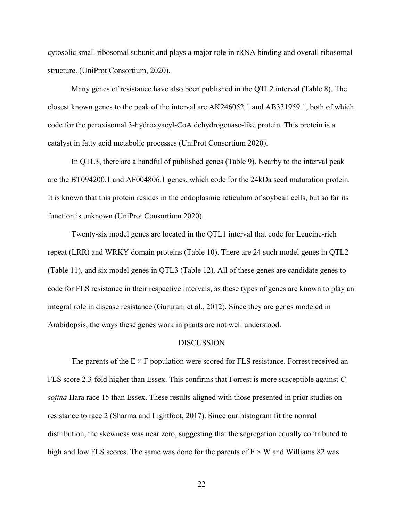cytosolic small ribosomal subunit and plays a major role in rRNA binding and overall ribosomal structure. (UniProt Consortium, 2020).

Many genes of resistance have also been published in the QTL2 interval (Table 8). The closest known genes to the peak of the interval are AK246052.1 and AB331959.1, both of which code for the peroxisomal 3-hydroxyacyl-CoA dehydrogenase-like protein. This protein is a catalyst in fatty acid metabolic processes (UniProt Consortium 2020).

In QTL3, there are a handful of published genes (Table 9). Nearby to the interval peak are the BT094200.1 and AF004806.1 genes, which code for the 24kDa seed maturation protein. It is known that this protein resides in the endoplasmic reticulum of soybean cells, but so far its function is unknown (UniProt Consortium 2020).

Twenty-six model genes are located in the QTL1 interval that code for Leucine-rich repeat (LRR) and WRKY domain proteins (Table 10). There are 24 such model genes in QTL2 (Table 11), and six model genes in QTL3 (Table 12). All of these genes are candidate genes to code for FLS resistance in their respective intervals, as these types of genes are known to play an integral role in disease resistance (Gururani et al., 2012). Since they are genes modeled in Arabidopsis, the ways these genes work in plants are not well understood.

### **DISCUSSION**

The parents of the  $E \times F$  population were scored for FLS resistance. Forrest received an FLS score 2.3-fold higher than Essex. This confirms that Forrest is more susceptible against *C. sojina* Hara race 15 than Essex. These results aligned with those presented in prior studies on resistance to race 2 (Sharma and Lightfoot, 2017). Since our histogram fit the normal distribution, the skewness was near zero, suggesting that the segregation equally contributed to high and low FLS scores. The same was done for the parents of  $F \times W$  and Williams 82 was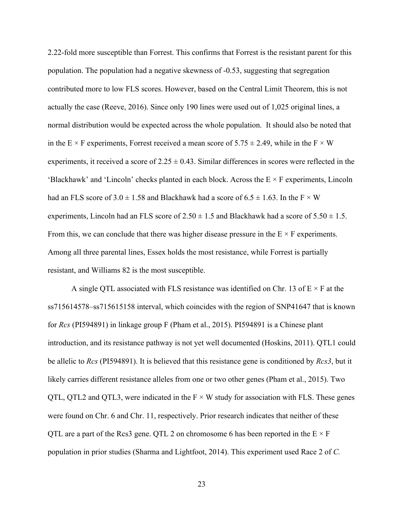2.22-fold more susceptible than Forrest. This confirms that Forrest is the resistant parent for this population. The population had a negative skewness of -0.53, suggesting that segregation contributed more to low FLS scores. However, based on the Central Limit Theorem, this is not actually the case (Reeve, 2016). Since only 190 lines were used out of 1,025 original lines, a normal distribution would be expected across the whole population. It should also be noted that in the E  $\times$  F experiments, Forrest received a mean score of 5.75  $\pm$  2.49, while in the F  $\times$  W experiments, it received a score of  $2.25 \pm 0.43$ . Similar differences in scores were reflected in the 'Blackhawk' and 'Lincoln' checks planted in each block. Across the  $E \times F$  experiments, Lincoln had an FLS score of  $3.0 \pm 1.58$  and Blackhawk had a score of  $6.5 \pm 1.63$ . In the F  $\times$  W experiments, Lincoln had an FLS score of  $2.50 \pm 1.5$  and Blackhawk had a score of  $5.50 \pm 1.5$ . From this, we can conclude that there was higher disease pressure in the  $E \times F$  experiments. Among all three parental lines, Essex holds the most resistance, while Forrest is partially resistant, and Williams 82 is the most susceptible.

A single QTL associated with FLS resistance was identified on Chr. 13 of  $E \times F$  at the ss715614578–ss715615158 interval, which coincides with the region of SNP41647 that is known for *Rcs* (PI594891) in linkage group F (Pham et al., 2015). PI594891 is a Chinese plant introduction, and its resistance pathway is not yet well documented (Hoskins, 2011). QTL1 could be allelic to *Rcs* (PI594891). It is believed that this resistance gene is conditioned by *Rcs3*, but it likely carries different resistance alleles from one or two other genes (Pham et al., 2015). Two QTL, QTL2 and QTL3, were indicated in the  $F \times W$  study for association with FLS. These genes were found on Chr. 6 and Chr. 11, respectively. Prior research indicates that neither of these QTL are a part of the Rcs3 gene. QTL 2 on chromosome 6 has been reported in the  $E \times F$ population in prior studies (Sharma and Lightfoot, 2014). This experiment used Race 2 of *C.*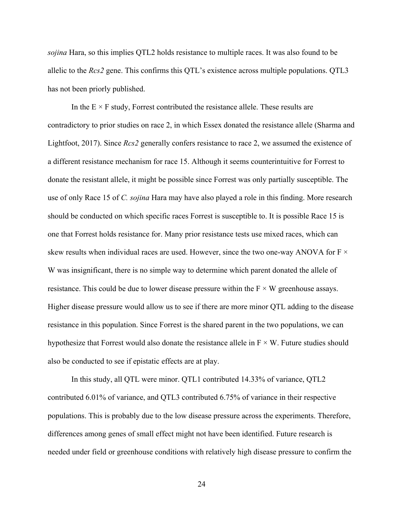*sojina* Hara, so this implies QTL2 holds resistance to multiple races. It was also found to be allelic to the *Rcs2* gene. This confirms this QTL's existence across multiple populations. QTL3 has not been priorly published.

In the  $E \times F$  study, Forrest contributed the resistance allele. These results are contradictory to prior studies on race 2, in which Essex donated the resistance allele (Sharma and Lightfoot, 2017). Since *Rcs2* generally confers resistance to race 2, we assumed the existence of a different resistance mechanism for race 15. Although it seems counterintuitive for Forrest to donate the resistant allele, it might be possible since Forrest was only partially susceptible. The use of only Race 15 of *C. sojina* Hara may have also played a role in this finding. More research should be conducted on which specific races Forrest is susceptible to. It is possible Race 15 is one that Forrest holds resistance for. Many prior resistance tests use mixed races, which can skew results when individual races are used. However, since the two one-way ANOVA for  $F \times$ W was insignificant, there is no simple way to determine which parent donated the allele of resistance. This could be due to lower disease pressure within the  $F \times W$  greenhouse assays. Higher disease pressure would allow us to see if there are more minor QTL adding to the disease resistance in this population. Since Forrest is the shared parent in the two populations, we can hypothesize that Forrest would also donate the resistance allele in  $F \times W$ . Future studies should also be conducted to see if epistatic effects are at play.

In this study, all QTL were minor. QTL1 contributed 14.33% of variance, QTL2 contributed 6.01% of variance, and QTL3 contributed 6.75% of variance in their respective populations. This is probably due to the low disease pressure across the experiments. Therefore, differences among genes of small effect might not have been identified. Future research is needed under field or greenhouse conditions with relatively high disease pressure to confirm the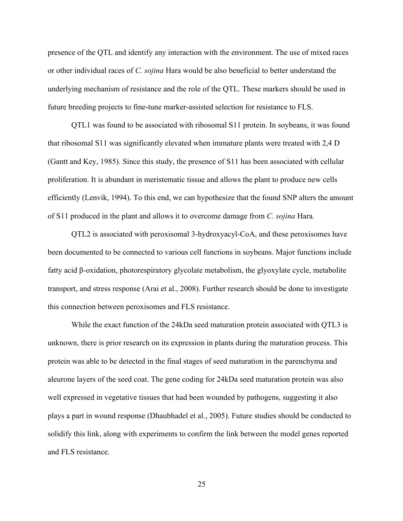presence of the QTL and identify any interaction with the environment. The use of mixed races or other individual races of *C. sojina* Hara would be also beneficial to better understand the underlying mechanism of resistance and the role of the QTL. These markers should be used in future breeding projects to fine-tune marker-assisted selection for resistance to FLS.

QTL1 was found to be associated with ribosomal S11 protein. In soybeans, it was found that ribosomal S11 was significantly elevated when immature plants were treated with 2,4 D (Gantt and Key, 1985). Since this study, the presence of S11 has been associated with cellular proliferation. It is abundant in meristematic tissue and allows the plant to produce new cells efficiently (Lenvik, 1994). To this end, we can hypothesize that the found SNP alters the amount of S11 produced in the plant and allows it to overcome damage from *C. sojina* Hara.

QTL2 is associated with peroxisomal 3-hydroxyacyl-CoA, and these peroxisomes have been documented to be connected to various cell functions in soybeans. Major functions include fatty acid β-oxidation, photorespiratory glycolate metabolism, the glyoxylate cycle, metabolite transport, and stress response (Arai et al., 2008). Further research should be done to investigate this connection between peroxisomes and FLS resistance.

While the exact function of the 24kDa seed maturation protein associated with QTL3 is unknown, there is prior research on its expression in plants during the maturation process. This protein was able to be detected in the final stages of seed maturation in the parenchyma and aleurone layers of the seed coat. The gene coding for 24kDa seed maturation protein was also well expressed in vegetative tissues that had been wounded by pathogens, suggesting it also plays a part in wound response (Dhaubhadel et al., 2005). Future studies should be conducted to solidify this link, along with experiments to confirm the link between the model genes reported and FLS resistance.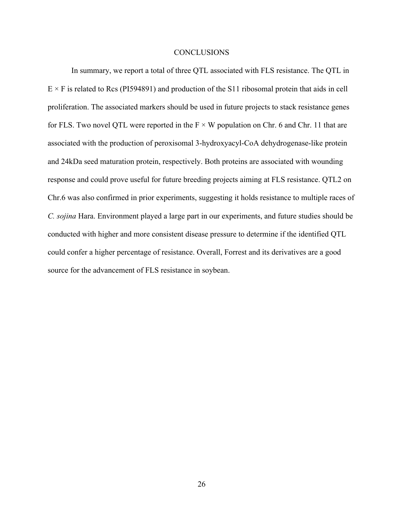#### **CONCLUSIONS**

In summary, we report a total of three QTL associated with FLS resistance. The QTL in  $E \times F$  is related to Rcs (PI594891) and production of the S11 ribosomal protein that aids in cell proliferation. The associated markers should be used in future projects to stack resistance genes for FLS. Two novel QTL were reported in the  $F \times W$  population on Chr. 6 and Chr. 11 that are associated with the production of peroxisomal 3-hydroxyacyl-CoA dehydrogenase-like protein and 24kDa seed maturation protein, respectively. Both proteins are associated with wounding response and could prove useful for future breeding projects aiming at FLS resistance. QTL2 on Chr.6 was also confirmed in prior experiments, suggesting it holds resistance to multiple races of *C. sojina* Hara. Environment played a large part in our experiments, and future studies should be conducted with higher and more consistent disease pressure to determine if the identified QTL could confer a higher percentage of resistance. Overall, Forrest and its derivatives are a good source for the advancement of FLS resistance in soybean.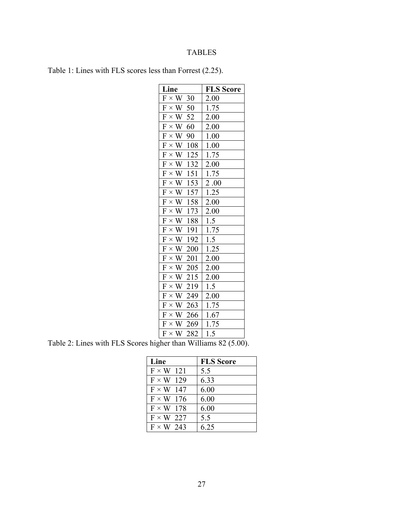# TABLES

| Table 1: Lines with FLS scores less than Forrest (2.25). |  |  |  |  |  |  |  |  |  |
|----------------------------------------------------------|--|--|--|--|--|--|--|--|--|
|----------------------------------------------------------|--|--|--|--|--|--|--|--|--|

| Line                                                                  | <b>FLS</b> Score    |
|-----------------------------------------------------------------------|---------------------|
| F<br>$\times$<br>W<br>30                                              | 2.00                |
| F<br>$\times$<br>W<br>50                                              | 1.75                |
| F<br>W<br>52<br>$\times$                                              | 2.00                |
| $\overline{\mathrm{F}}$<br>W<br>60<br>$\times$                        | 2.00                |
| $\overline{\mathrm{F}}$<br>W<br>$\times$<br>90                        | 1.00                |
| $\overline{\mathrm{F}}$<br>W<br>$\times$<br>108                       | 1.00                |
| $\overline{\mathrm{F}}$<br>W<br>$\times$<br>125                       | 1.75                |
| F<br>132<br>W<br>$\times$                                             | 2.00                |
| F<br>W<br>151<br>$\times$                                             | 1.75                |
| $\overline{\mathrm{F}}$<br>W<br>153<br>$\times$                       | 2.00                |
| F<br>W<br><u>157</u><br>$\times$                                      | 1.25                |
| $\overline{\mathrm{F}}$<br>$\overline{W}$<br>158<br>$\times$          | 2.00                |
| $\overline{F}$<br>W<br>173<br>$\times$                                | 2.00                |
| F<br>W<br>188<br>$\times$                                             | 1.5                 |
| $\overline{\mathrm{F}}$<br>$\times$<br>$\ensuremath{\text{W}}$<br>191 | $\frac{1.75}{1.75}$ |
| F<br>W<br>$\times$<br>192                                             | $\overline{1.5}$    |
| F<br>W<br>200<br>$\times$                                             | 1.25                |
| $\overline{\mathrm{F}}$<br>W<br>201<br>$\times$                       | 2.00                |
| $\overline{\mathrm{F}}$<br>W<br>205<br>$\times$                       | 2.00                |
| $\overline{F}$<br>W<br>215<br>$\times$                                | 2.00                |
| F<br>W<br>$\times$<br>219                                             | 1.5                 |
| $\overline{\mathrm{F}}$<br>W<br>249<br>$\times$                       | 2.00                |
| F<br>W<br>263<br>$\times$                                             | 1.75                |
| $\boldsymbol{\mathrm{F}}$<br>W<br>$\times$<br>266                     | 1.67                |
| F<br>W<br>269<br>$\times$                                             | 1.75                |
| F<br>282<br>W<br>$\times$                                             | 1.5                 |
|                                                                       |                     |

Table 2: Lines with FLS Scores higher than Williams 82 (5.00).

| Line             | <b>FLS</b> Score |
|------------------|------------------|
| $F \times W$ 121 | 5.5              |
| $F \times W$ 129 | 6.33             |
| $F \times W$ 147 | 6.00             |
| $F \times W$ 176 | 6.00             |
| $F \times W$ 178 | 6.00             |
| $F \times W$ 227 | 5.5              |
| $F \times W$ 243 | 6.25             |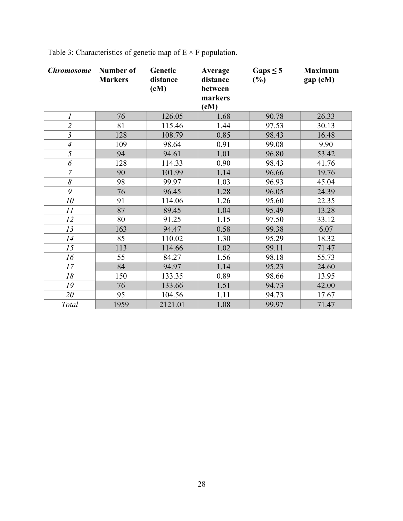| <b>Chromosome</b>         | Number of<br><b>Markers</b> | Genetic<br>distance<br>(cM) | Average<br>distance<br>between<br>markers<br>$\textbf{(cM)}$ | Gaps $\leq$ 5<br>(%) | <b>Maximum</b><br>gap (cM) |
|---------------------------|-----------------------------|-----------------------------|--------------------------------------------------------------|----------------------|----------------------------|
| 1                         | 76                          | 126.05                      | 1.68                                                         | 90.78                | 26.33                      |
| $\overline{c}$            | 81                          | 115.46                      | 1.44                                                         | 97.53                | 30.13                      |
| $\overline{\overline{3}}$ | 128                         | 108.79                      | 0.85                                                         | 98.43                | 16.48                      |
| $\overline{4}$            | 109                         | 98.64                       | 0.91                                                         | 99.08                | 9.90                       |
| 5                         | 94                          | 94.61                       | 1.01                                                         | 96.80                | 53.42                      |
| 6                         | 128                         | 114.33                      | 0.90                                                         | 98.43                | 41.76                      |
| $\overline{7}$            | 90                          | 101.99                      | 1.14                                                         | 96.66                | 19.76                      |
| $\delta$                  | 98                          | 99.97                       | 1.03                                                         | 96.93                | 45.04                      |
| 9                         | 76                          | 96.45                       | 1.28                                                         | 96.05                | 24.39                      |
| 10                        | 91                          | 114.06                      | 1.26                                                         | 95.60                | 22.35                      |
| 11                        | 87                          | 89.45                       | 1.04                                                         | 95.49                | 13.28                      |
| 12                        | 80                          | 91.25                       | 1.15                                                         | 97.50                | 33.12                      |
| 13                        | 163                         | 94.47                       | 0.58                                                         | 99.38                | 6.07                       |
| 14                        | 85                          | 110.02                      | 1.30                                                         | 95.29                | 18.32                      |
| 15                        | 113                         | 114.66                      | 1.02                                                         | 99.11                | 71.47                      |
| 16                        | 55                          | 84.27                       | 1.56                                                         | 98.18                | 55.73                      |
| 17                        | 84                          | 94.97                       | 1.14                                                         | 95.23                | 24.60                      |
| 18                        | 150                         | 133.35                      | 0.89                                                         | 98.66                | 13.95                      |
| 19                        | 76                          | 133.66                      | 1.51                                                         | 94.73                | 42.00                      |
| 20                        | 95                          | 104.56                      | 1.11                                                         | 94.73                | 17.67                      |
| Total                     | 1959                        | 2121.01                     | 1.08                                                         | 99.97                | 71.47                      |

Table 3: Characteristics of genetic map of  $E \times F$  population.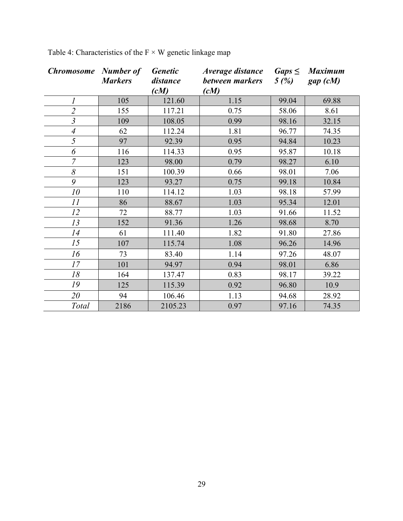| <b>Chromosome</b> Number of | <b>Markers</b> | <b>Genetic</b><br>distance<br>(cM) | <i>Average distance</i><br>between markers<br>(cM) | $Gaps \leq$<br>5(%) | <b>Maximum</b><br>gap (cM) |
|-----------------------------|----------------|------------------------------------|----------------------------------------------------|---------------------|----------------------------|
| $\boldsymbol{l}$            | 105            | 121.60                             | 1.15                                               | 99.04               | 69.88                      |
| $\overline{2}$              | 155            | 117.21                             | 0.75                                               | 58.06               | 8.61                       |
| $\overline{\mathfrak{z}}$   | 109            | 108.05                             | 0.99                                               | 98.16               | 32.15                      |
| $\overline{A}$              | 62             | 112.24                             | 1.81                                               | 96.77               | 74.35                      |
| 5                           | 97             | 92.39                              | 0.95                                               | 94.84               | 10.23                      |
| 6                           | 116            | 114.33                             | 0.95                                               | 95.87               | 10.18                      |
| $\overline{7}$              | 123            | 98.00                              | 0.79                                               | 98.27               | 6.10                       |
| 8                           | 151            | 100.39                             | 0.66                                               | 98.01               | 7.06                       |
| 9                           | 123            | 93.27                              | 0.75                                               | 99.18               | 10.84                      |
| 10                          | 110            | 114.12                             | 1.03                                               | 98.18               | 57.99                      |
| 11                          | 86             | 88.67                              | 1.03                                               | 95.34               | 12.01                      |
| 12                          | 72             | 88.77                              | 1.03                                               | 91.66               | 11.52                      |
| 13                          | 152            | 91.36                              | 1.26                                               | 98.68               | 8.70                       |
| 14                          | 61             | 111.40                             | 1.82                                               | 91.80               | 27.86                      |
| 15                          | 107            | 115.74                             | 1.08                                               | 96.26               | 14.96                      |
| 16                          | 73             | 83.40                              | 1.14                                               | 97.26               | 48.07                      |
| 17                          | 101            | 94.97                              | 0.94                                               | 98.01               | 6.86                       |
| 18                          | 164            | 137.47                             | 0.83                                               | 98.17               | 39.22                      |
| 19                          | 125            | 115.39                             | 0.92                                               | 96.80               | 10.9                       |
| 20                          | 94             | 106.46                             | 1.13                                               | 94.68               | 28.92                      |
| Total                       | 2186           | 2105.23                            | 0.97                                               | 97.16               | 74.35                      |

Table 4: Characteristics of the  $\mathbf{F}\times\mathbf{W}$  genetic linkage map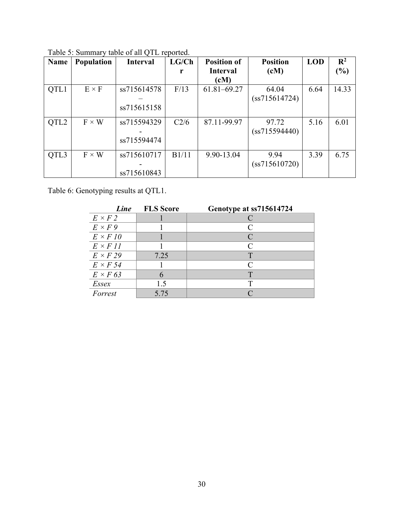| Name             | Population   | <b>Interval</b> | LG/Ch | <b>Position of</b> | <b>Position</b> | <b>LOD</b> | R <sup>2</sup> |
|------------------|--------------|-----------------|-------|--------------------|-----------------|------------|----------------|
|                  |              |                 | r     | <b>Interval</b>    | (cM)            |            | $\frac{6}{6}$  |
|                  |              |                 |       | (cM)               |                 |            |                |
| QTL1             | $E \times F$ | ss715614578     | F/13  | $61.81 - 69.27$    | 64.04           | 6.64       | 14.33          |
|                  |              |                 |       |                    | (ss715614724)   |            |                |
|                  |              | ss715615158     |       |                    |                 |            |                |
|                  |              |                 |       |                    |                 |            |                |
| QTL <sub>2</sub> | $F \times W$ | ss715594329     | C2/6  | 87.11-99.97        | 97.72           | 5.16       | 6.01           |
|                  |              |                 |       |                    | (ss715594440)   |            |                |
|                  |              | ss715594474     |       |                    |                 |            |                |
|                  |              |                 |       |                    |                 |            |                |
| QTL3             | $F \times W$ | ss715610717     | B1/11 | 9.90-13.04         | 9.94            | 3.39       | 6.75           |
|                  |              |                 |       |                    | (ss715610720)   |            |                |
|                  |              | ss715610843     |       |                    |                 |            |                |

Table 5: Summary table of all QTL reported.

Table 6: Genotyping results at QTL1.

| Line            | <b>FLS</b> Score | Genotype at ss715614724 |
|-----------------|------------------|-------------------------|
| $E \times F2$   |                  |                         |
| $E \times F9$   |                  | C                       |
| $E \times F10$  |                  |                         |
| $E \times F11$  |                  | $\subset$               |
| $E \times F29$  | 7.25             | Т                       |
| $E \times F$ 54 |                  | $\curvearrowright$      |
| $E \times F$ 63 |                  |                         |
| Essex           | 1.5              |                         |
| Forrest         | 5.75             |                         |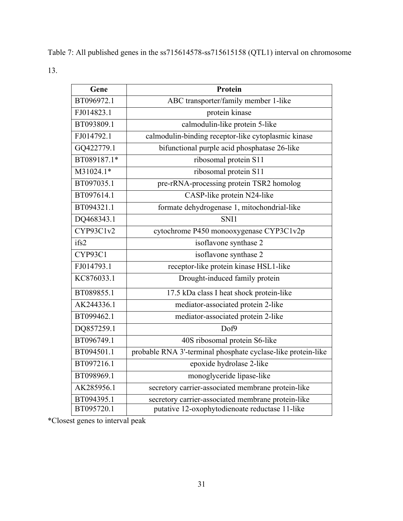Table 7: All published genes in the ss715614578-ss715615158 (QTL1) interval on chromosome 13.

| Gene        | <b>Protein</b>                                               |
|-------------|--------------------------------------------------------------|
| BT096972.1  | ABC transporter/family member 1-like                         |
| FJ014823.1  | protein kinase                                               |
| BT093809.1  | calmodulin-like protein 5-like                               |
| FJ014792.1  | calmodulin-binding receptor-like cytoplasmic kinase          |
| GQ422779.1  | bifunctional purple acid phosphatase 26-like                 |
| BT089187.1* | ribosomal protein S11                                        |
| M31024.1*   | ribosomal protein S11                                        |
| BT097035.1  | pre-rRNA-processing protein TSR2 homolog                     |
| BT097614.1  | CASP-like protein N24-like                                   |
| BT094321.1  | formate dehydrogenase 1, mitochondrial-like                  |
| DQ468343.1  | SNI1                                                         |
| CYP93C1v2   | cytochrome P450 monooxygenase CYP3C1v2p                      |
| ifs2        | isoflavone synthase 2                                        |
| CYP93C1     | isoflavone synthase 2                                        |
| FJ014793.1  | receptor-like protein kinase HSL1-like                       |
| KC876033.1  | Drought-induced family protein                               |
| BT089855.1  | 17.5 kDa class I heat shock protein-like                     |
| AK244336.1  | mediator-associated protein 2-like                           |
| BT099462.1  | mediator-associated protein 2-like                           |
| DQ857259.1  | Dof9                                                         |
| BT096749.1  | 40S ribosomal protein S6-like                                |
| BT094501.1  | probable RNA 3'-terminal phosphate cyclase-like protein-like |
| BT097216.1  | epoxide hydrolase 2-like                                     |
| BT098969.1  | monoglyceride lipase-like                                    |
| AK285956.1  | secretory carrier-associated membrane protein-like           |
| BT094395.1  | secretory carrier-associated membrane protein-like           |
| BT095720.1  | putative 12-oxophytodienoate reductase 11-like               |

\*Closest genes to interval peak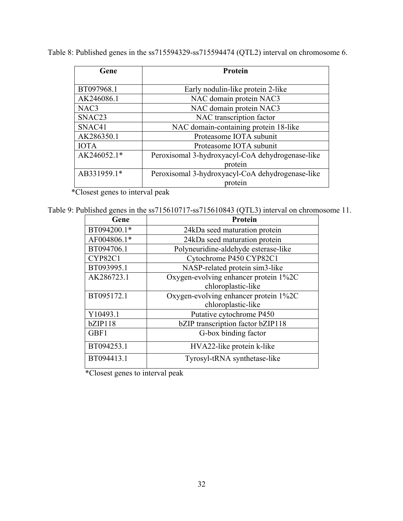Table 8: Published genes in the ss715594329-ss715594474 (QTL2) interval on chromosome 6.

| Gene               | Protein                                          |  |
|--------------------|--------------------------------------------------|--|
|                    |                                                  |  |
| BT097968.1         | Early nodulin-like protein 2-like                |  |
| AK246086.1         | NAC domain protein NAC3                          |  |
| NAC3               | NAC domain protein NAC3                          |  |
| SNAC <sub>23</sub> | NAC transcription factor                         |  |
| SNAC41             | NAC domain-containing protein 18-like            |  |
| AK286350.1         | Proteasome IOTA subunit                          |  |
| <b>IOTA</b>        | Proteasome IOTA subunit                          |  |
| AK246052.1*        | Peroxisomal 3-hydroxyacyl-CoA dehydrogenase-like |  |
|                    | protein                                          |  |
| AB331959.1*        | Peroxisomal 3-hydroxyacyl-CoA dehydrogenase-like |  |
|                    | protein                                          |  |

\*Closest genes to interval peak

Table 9: Published genes in the ss715610717-ss715610843 (QTL3) interval on chromosome 11.

| Gene        | <b>Protein</b>                        |
|-------------|---------------------------------------|
| BT094200.1* | 24kDa seed maturation protein         |
| AF004806.1* | 24kDa seed maturation protein         |
| BT094706.1  | Polyneuridine-aldehyde esterase-like  |
| CYP82C1     | Cytochrome P450 CYP82C1               |
| BT093995.1  | NASP-related protein sim3-like        |
| AK286723.1  | Oxygen-evolving enhancer protein 1%2C |
|             | chloroplastic-like                    |
| BT095172.1  | Oxygen-evolving enhancer protein 1%2C |
|             | chloroplastic-like                    |
| Y10493.1    | Putative cytochrome P450              |
| bZIP118     | bZIP transcription factor bZIP118     |
| GBF1        | G-box binding factor                  |
| BT094253.1  | HVA22-like protein k-like             |
| BT094413.1  | Tyrosyl-tRNA synthetase-like          |

\*Closest genes to interval peak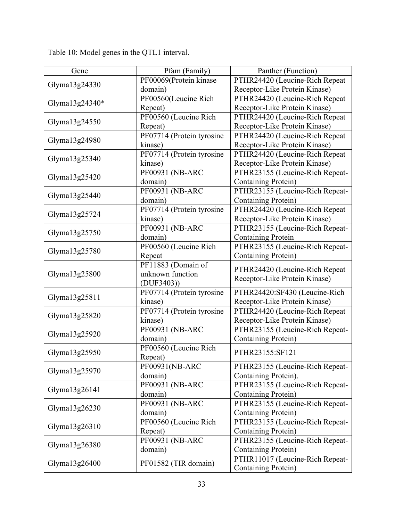Gene Pfam (Family) Panther (Function) Glyma13g24330 PF00069(Protein kinase domain) PTHR24420 (Leucine-Rich Repeat Receptor-Like Protein Kinase) Glyma13g24340\* PF00560(Leucine Rich Repeat) PTHR24420 (Leucine-Rich Repeat Receptor-Like Protein Kinase) Glyma13g24550 PF00560 (Leucine Rich Repeat) PTHR24420 (Leucine-Rich Repeat Receptor-Like Protein Kinase) Glyma13g24980 PF07714 (Protein tyrosine kinase) PTHR24420 (Leucine-Rich Repeat Receptor-Like Protein Kinase) Glyma13g25340 PF07714 (Protein tyrosine kinase) PTHR24420 (Leucine-Rich Repeat Receptor-Like Protein Kinase) Glyma13g25420 PF00931 (NB-ARC domain) PTHR23155 (Leucine-Rich Repeat-Containing Protein) Glyma13g25440 PF00931 (NB-ARC domain) PTHR23155 (Leucine-Rich Repeat-Containing Protein) Glyma13g25724 PF07714 (Protein tyrosine kinase) PTHR24420 (Leucine-Rich Repeat Receptor-Like Protein Kinase) Glyma13g25750 PF00931 (NB-ARC domain) PTHR23155 (Leucine-Rich Repeat-Containing Protein Glyma $13g25780$  PF00560 (Leucine Rich Repeat PTHR23155 (Leucine-Rich Repeat-Containing Protein) Glyma13g25800 PF11883 (Domain of unknown function (DUF3403)) PTHR24420 (Leucine-Rich Repeat Receptor-Like Protein Kinase) Glyma13g25811 PF07714 (Protein tyrosine kinase) PTHR24420:SF430 (Leucine-Rich Receptor-Like Protein Kinase) Glyma13g25820 PF07714 (Protein tyrosine kinase) PTHR24420 (Leucine-Rich Repeat Receptor-Like Protein Kinase) Glyma13g25920 PF00931 (NB-ARC domain) PTHR23155 (Leucine-Rich Repeat-Containing Protein) Glyma13g25950 PF00560 (Leucine Rich Repeat) Repeat) PTHR23155:SF121 Glyma13g25970 PF00931(NB-ARC domain) PTHR23155 (Leucine-Rich Repeat-Containing Protein). Glyma $13g26141$  PF00931 (NB-ARC domain) PTHR23155 (Leucine-Rich Repeat-Containing Protein) Glyma13g26230 PF00931 (NB-ARC domain) PTHR23155 (Leucine-Rich Repeat-Containing Protein) Glyma13g26310 PF00560 (Leucine Rich Repeat) PTHR23155 (Leucine-Rich Repeat-Containing Protein) Glyma13g26380 PF00931 (NB-ARC domain) PTHR23155 (Leucine-Rich Repeat-Containing Protein) Glyma13g26400 PF01582 (TIR domain) PTHR11017 (Leucine-Rich Repeat-Containing Protein)

Table 10: Model genes in the QTL1 interval.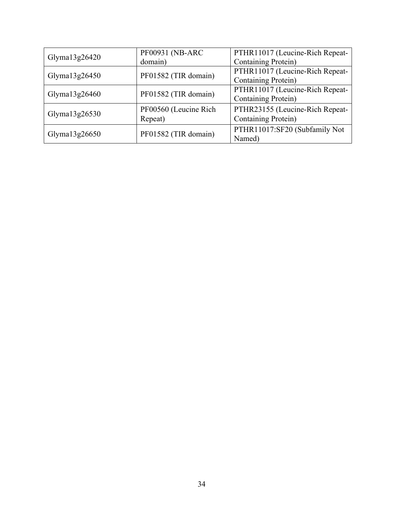|                  | PF00931 (NB-ARC       | PTHR11017 (Leucine-Rich Repeat- |  |
|------------------|-----------------------|---------------------------------|--|
| Glyma $13g26420$ | domain)               | <b>Containing Protein)</b>      |  |
| Glyma $13g26450$ | PF01582 (TIR domain)  | PTHR11017 (Leucine-Rich Repeat- |  |
|                  |                       | <b>Containing Protein)</b>      |  |
| Glyma $13g26460$ | PF01582 (TIR domain)  | PTHR11017 (Leucine-Rich Repeat- |  |
|                  |                       | <b>Containing Protein)</b>      |  |
|                  | PF00560 (Leucine Rich | PTHR23155 (Leucine-Rich Repeat- |  |
| Glyma $13g26530$ | Repeat)               | <b>Containing Protein)</b>      |  |
|                  | PF01582 (TIR domain)  | PTHR11017:SF20 (Subfamily Not   |  |
| Glyma $13g26650$ |                       | Named)                          |  |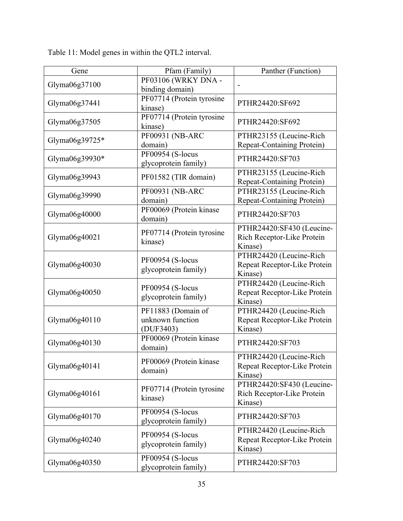| Gene           | Pfam (Family)                      | Panther (Function)                      |
|----------------|------------------------------------|-----------------------------------------|
| Glyma06g37100  | PF03106 (WRKY DNA -                |                                         |
|                | binding domain)                    |                                         |
| Glyma06g37441  | PF07714 (Protein tyrosine          | PTHR24420:SF692                         |
|                | kinase)                            |                                         |
| Glyma06g37505  | PF07714 (Protein tyrosine          | PTHR24420:SF692                         |
|                | kinase)                            |                                         |
| Glyma06g39725* | PF00931 (NB-ARC                    | PTHR23155 (Leucine-Rich                 |
|                | domain)                            | <b>Repeat-Containing Protein)</b>       |
| Glyma06g39930* | PF00954 (S-locus                   | PTHR24420:SF703                         |
|                | glycoprotein family)               |                                         |
| Glyma06g39943  | PF01582 (TIR domain)               | PTHR23155 (Leucine-Rich                 |
|                |                                    | <b>Repeat-Containing Protein)</b>       |
| Glyma06g39990  | PF00931 (NB-ARC                    | PTHR23155 (Leucine-Rich                 |
|                | domain)                            | <b>Repeat-Containing Protein)</b>       |
| Glyma06g40000  | PF00069 (Protein kinase<br>domain) | PTHR24420:SF703                         |
|                |                                    | PTHR24420:SF430 (Leucine-               |
| Glyma06g40021  | PF07714 (Protein tyrosine          | Rich Receptor-Like Protein              |
|                | kinase)                            | Kinase)                                 |
|                |                                    | PTHR24420 (Leucine-Rich                 |
| Glyma06g40030  | PF00954 (S-locus                   | Repeat Receptor-Like Protein            |
|                | glycoprotein family)               | Kinase)                                 |
|                |                                    | PTHR24420 (Leucine-Rich                 |
| Glyma06g40050  | PF00954 (S-locus                   | Repeat Receptor-Like Protein            |
|                | glycoprotein family)               | Kinase)                                 |
|                | PF11883 (Domain of                 | PTHR24420 (Leucine-Rich                 |
| Glyma06g40110  | unknown function                   | Repeat Receptor-Like Protein            |
|                | (DUF3403)                          | Kinase)                                 |
| Glyma06g40130  | PF00069 (Protein kinase            | PTHR24420:SF703                         |
|                | domain)                            |                                         |
|                | PF00069 (Protein kinase            | PTHR24420 (Leucine-Rich                 |
| Glyma06g40141  | domain)                            | Repeat Receptor-Like Protein            |
|                |                                    | Kinase)                                 |
|                | PF07714 (Protein tyrosine          | PTHR24420:SF430 (Leucine-               |
| Glyma06g40161  | kinase)                            | Rich Receptor-Like Protein              |
|                |                                    | Kinase)                                 |
| Glyma06g40170  | PF00954 (S-locus                   | PTHR24420:SF703                         |
|                | glycoprotein family)               |                                         |
|                | PF00954 (S-locus                   | PTHR24420 (Leucine-Rich                 |
| Glyma06g40240  | glycoprotein family)               | Repeat Receptor-Like Protein<br>Kinase) |
|                | PF00954 (S-locus                   |                                         |
| Glyma06g40350  | glycoprotein family)               | PTHR24420:SF703                         |
|                |                                    |                                         |

Table 11: Model genes in within the QTL2 interval.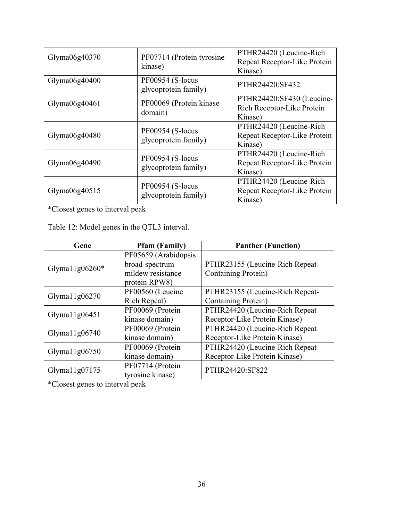| Glyma $06g40370$ | PF07714 (Protein tyrosine<br>kinase)     | PTHR24420 (Leucine-Rich<br>Repeat Receptor-Like Protein<br>Kinase) |
|------------------|------------------------------------------|--------------------------------------------------------------------|
| Glyma $06g40400$ | PF00954 (S-locus<br>glycoprotein family) | PTHR24420:SF432                                                    |
| Glyma $06g40461$ | PF00069 (Protein kinase<br>domain)       | PTHR24420:SF430 (Leucine-<br>Rich Receptor-Like Protein<br>Kinase) |
| Glyma $06g40480$ | PF00954 (S-locus<br>glycoprotein family) | PTHR24420 (Leucine-Rich<br>Repeat Receptor-Like Protein<br>Kinase) |
| Glyma $06g40490$ | PF00954 (S-locus<br>glycoprotein family) | PTHR24420 (Leucine-Rich<br>Repeat Receptor-Like Protein<br>Kinase) |
| Glyma06g40515    | PF00954 (S-locus<br>glycoprotein family) | PTHR24420 (Leucine-Rich<br>Repeat Receptor-Like Protein<br>Kinase) |

\*Closest genes to interval peak

Table 12: Model genes in the QTL3 interval.

| Gene              | <b>Pfam (Family)</b> | <b>Panther (Function)</b>       |  |
|-------------------|----------------------|---------------------------------|--|
|                   | PF05659 (Arabidopsis |                                 |  |
| Glyma $11g06260*$ | broad-spectrum       | PTHR23155 (Leucine-Rich Repeat- |  |
|                   | mildew resistance    | Containing Protein)             |  |
|                   | protein RPW8)        |                                 |  |
| Glyma $11g06270$  | PF00560 (Leucine     | PTHR23155 (Leucine-Rich Repeat- |  |
|                   | <b>Rich Repeat)</b>  | <b>Containing Protein</b> )     |  |
| Glyma $11g06451$  | PF00069 (Protein     | PTHR24420 (Leucine-Rich Repeat  |  |
|                   | kinase domain)       | Receptor-Like Protein Kinase)   |  |
| Glyma $11g06740$  | PF00069 (Protein     | PTHR24420 (Leucine-Rich Repeat  |  |
|                   | kinase domain)       | Receptor-Like Protein Kinase)   |  |
|                   | PF00069 (Protein     | PTHR24420 (Leucine-Rich Repeat  |  |
| Glyma $11g06750$  | kinase domain)       | Receptor-Like Protein Kinase)   |  |
|                   | PF07714 (Protein     | PTHR24420:SF822                 |  |
| Glyma $11g07175$  | tyrosine kinase)     |                                 |  |

\*Closest genes to interval peak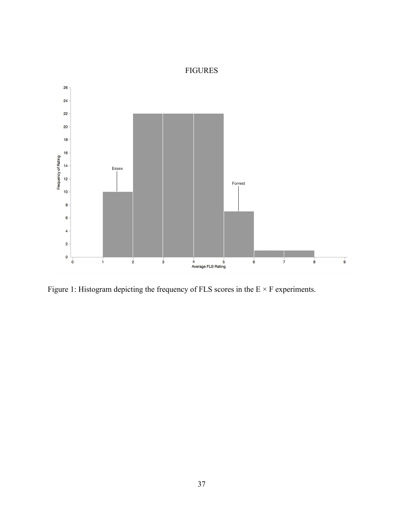## FIGURES



Figure 1: Histogram depicting the frequency of FLS scores in the  $E \times F$  experiments.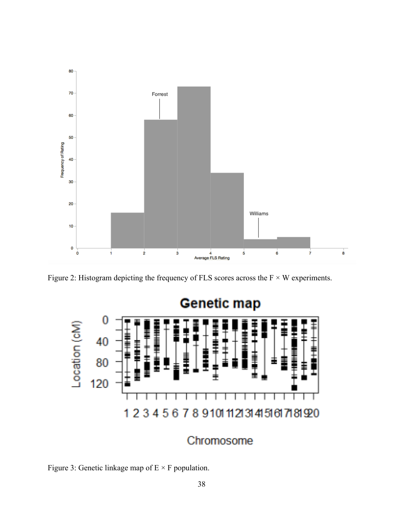

Figure 2: Histogram depicting the frequency of FLS scores across the  $F \times W$  experiments.



# Chromosome

Figure 3: Genetic linkage map of  $E \times F$  population.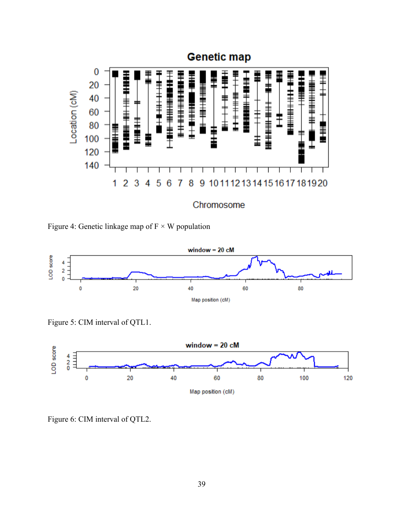

Figure 4: Genetic linkage map of  $F \times W$  population



Figure 5: CIM interval of QTL1.



Figure 6: CIM interval of QTL2.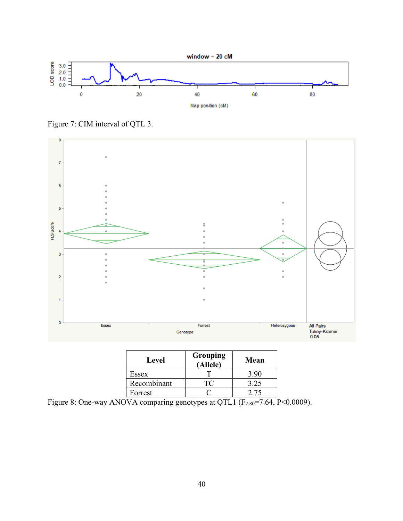

Figure 7: CIM interval of QTL 3.



| Level       | Grouping<br>(Allele) | Mean |
|-------------|----------------------|------|
| Essex       |                      | 3.90 |
| Recombinant | ार                   | 3.25 |
| Forrest     |                      | 2.75 |

Figure 8: One-way ANOVA comparing genotypes at QTL1 (F<sub>2,80</sub>=7.64, P<0.0009).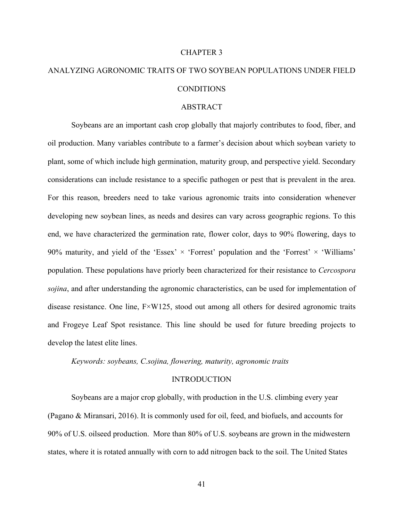#### CHAPTER 3

# ANALYZING AGRONOMIC TRAITS OF TWO SOYBEAN POPULATIONS UNDER FIELD CONDITIONS

#### ABSTRACT

Soybeans are an important cash crop globally that majorly contributes to food, fiber, and oil production. Many variables contribute to a farmer's decision about which soybean variety to plant, some of which include high germination, maturity group, and perspective yield. Secondary considerations can include resistance to a specific pathogen or pest that is prevalent in the area. For this reason, breeders need to take various agronomic traits into consideration whenever developing new soybean lines, as needs and desires can vary across geographic regions. To this end, we have characterized the germination rate, flower color, days to 90% flowering, days to 90% maturity, and yield of the 'Essex'  $\times$  'Forrest' population and the 'Forrest'  $\times$  'Williams' population. These populations have priorly been characterized for their resistance to *Cercospora sojina*, and after understanding the agronomic characteristics, can be used for implementation of disease resistance. One line,  $F \times W125$ , stood out among all others for desired agronomic traits and Frogeye Leaf Spot resistance. This line should be used for future breeding projects to develop the latest elite lines.

*Keywords: soybeans, C.sojina, flowering, maturity, agronomic traits*

#### INTRODUCTION

Soybeans are a major crop globally, with production in the U.S. climbing every year (Pagano & Miransari, 2016). It is commonly used for oil, feed, and biofuels, and accounts for 90% of U.S. oilseed production. More than 80% of U.S. soybeans are grown in the midwestern states, where it is rotated annually with corn to add nitrogen back to the soil. The United States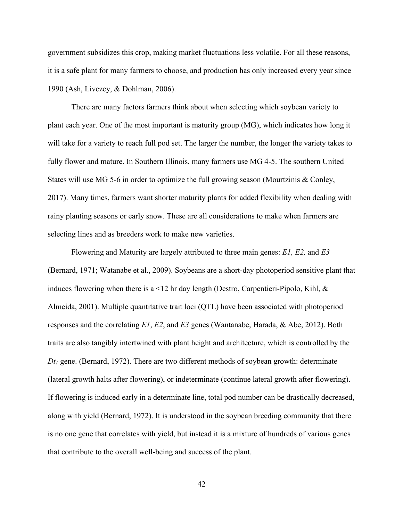government subsidizes this crop, making market fluctuations less volatile. For all these reasons, it is a safe plant for many farmers to choose, and production has only increased every year since 1990 (Ash, Livezey, & Dohlman, 2006).

There are many factors farmers think about when selecting which soybean variety to plant each year. One of the most important is maturity group (MG), which indicates how long it will take for a variety to reach full pod set. The larger the number, the longer the variety takes to fully flower and mature. In Southern Illinois, many farmers use MG 4-5. The southern United States will use MG 5-6 in order to optimize the full growing season (Mourtzinis & Conley, 2017). Many times, farmers want shorter maturity plants for added flexibility when dealing with rainy planting seasons or early snow. These are all considerations to make when farmers are selecting lines and as breeders work to make new varieties.

Flowering and Maturity are largely attributed to three main genes: *E1, E2,* and *E3* (Bernard, 1971; Watanabe et al., 2009). Soybeans are a short-day photoperiod sensitive plant that induces flowering when there is a  $\leq 12$  hr day length (Destro, Carpentieri-Pipolo, Kihl, & Almeida, 2001). Multiple quantitative trait loci (QTL) have been associated with photoperiod responses and the correlating *E1*, *E2*, and *E3* genes (Wantanabe, Harada, & Abe, 2012). Both traits are also tangibly intertwined with plant height and architecture, which is controlled by the *Dt1* gene. (Bernard, 1972). There are two different methods of soybean growth: determinate (lateral growth halts after flowering), or indeterminate (continue lateral growth after flowering). If flowering is induced early in a determinate line, total pod number can be drastically decreased, along with yield (Bernard, 1972). It is understood in the soybean breeding community that there is no one gene that correlates with yield, but instead it is a mixture of hundreds of various genes that contribute to the overall well-being and success of the plant.

42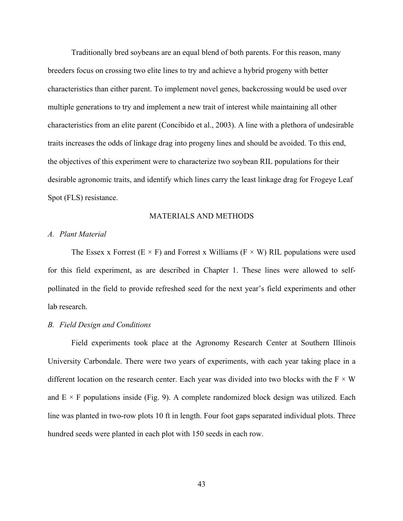Traditionally bred soybeans are an equal blend of both parents. For this reason, many breeders focus on crossing two elite lines to try and achieve a hybrid progeny with better characteristics than either parent. To implement novel genes, backcrossing would be used over multiple generations to try and implement a new trait of interest while maintaining all other characteristics from an elite parent (Concibido et al., 2003). A line with a plethora of undesirable traits increases the odds of linkage drag into progeny lines and should be avoided. To this end, the objectives of this experiment were to characterize two soybean RIL populations for their desirable agronomic traits, and identify which lines carry the least linkage drag for Frogeye Leaf Spot (FLS) resistance.

#### MATERIALS AND METHODS

#### *A. Plant Material*

The Essex x Forrest (E  $\times$  F) and Forrest x Williams (F  $\times$  W) RIL populations were used for this field experiment, as are described in Chapter 1. These lines were allowed to selfpollinated in the field to provide refreshed seed for the next year's field experiments and other lab research.

#### *B. Field Design and Conditions*

Field experiments took place at the Agronomy Research Center at Southern Illinois University Carbondale. There were two years of experiments, with each year taking place in a different location on the research center. Each year was divided into two blocks with the  $F \times W$ and  $E \times F$  populations inside (Fig. 9). A complete randomized block design was utilized. Each line was planted in two-row plots 10 ft in length. Four foot gaps separated individual plots. Three hundred seeds were planted in each plot with 150 seeds in each row.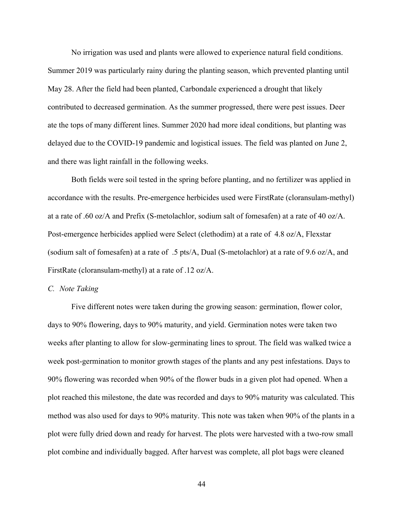No irrigation was used and plants were allowed to experience natural field conditions. Summer 2019 was particularly rainy during the planting season, which prevented planting until May 28. After the field had been planted, Carbondale experienced a drought that likely contributed to decreased germination. As the summer progressed, there were pest issues. Deer ate the tops of many different lines. Summer 2020 had more ideal conditions, but planting was delayed due to the COVID-19 pandemic and logistical issues. The field was planted on June 2, and there was light rainfall in the following weeks.

Both fields were soil tested in the spring before planting, and no fertilizer was applied in accordance with the results. Pre-emergence herbicides used were FirstRate (cloransulam-methyl) at a rate of .60 oz/A and Prefix (S-metolachlor, sodium salt of fomesafen) at a rate of 40 oz/A. Post-emergence herbicides applied were Select (clethodim) at a rate of 4.8 oz/A, Flexstar (sodium salt of fomesafen) at a rate of .5 pts/A, Dual (S-metolachlor) at a rate of 9.6 oz/A, and FirstRate (cloransulam-methyl) at a rate of .12 oz/A.

#### *C. Note Taking*

Five different notes were taken during the growing season: germination, flower color, days to 90% flowering, days to 90% maturity, and yield. Germination notes were taken two weeks after planting to allow for slow-germinating lines to sprout. The field was walked twice a week post-germination to monitor growth stages of the plants and any pest infestations. Days to 90% flowering was recorded when 90% of the flower buds in a given plot had opened. When a plot reached this milestone, the date was recorded and days to 90% maturity was calculated. This method was also used for days to 90% maturity. This note was taken when 90% of the plants in a plot were fully dried down and ready for harvest. The plots were harvested with a two-row small plot combine and individually bagged. After harvest was complete, all plot bags were cleaned

44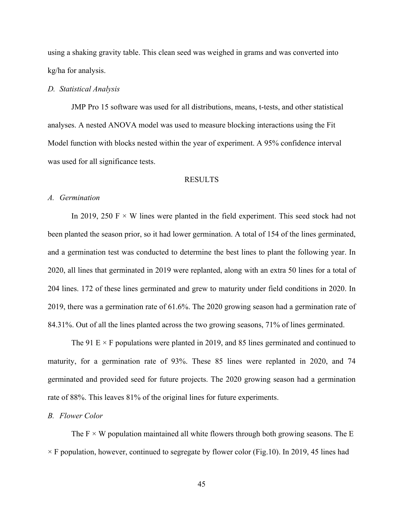using a shaking gravity table. This clean seed was weighed in grams and was converted into kg/ha for analysis.

#### *D. Statistical Analysis*

JMP Pro 15 software was used for all distributions, means, t-tests, and other statistical analyses. A nested ANOVA model was used to measure blocking interactions using the Fit Model function with blocks nested within the year of experiment. A 95% confidence interval was used for all significance tests.

#### RESULTS

#### *A. Germination*

In 2019, 250 F  $\times$  W lines were planted in the field experiment. This seed stock had not been planted the season prior, so it had lower germination. A total of 154 of the lines germinated, and a germination test was conducted to determine the best lines to plant the following year. In 2020, all lines that germinated in 2019 were replanted, along with an extra 50 lines for a total of 204 lines. 172 of these lines germinated and grew to maturity under field conditions in 2020. In 2019, there was a germination rate of 61.6%. The 2020 growing season had a germination rate of 84.31%. Out of all the lines planted across the two growing seasons, 71% of lines germinated.

The 91 E  $\times$  F populations were planted in 2019, and 85 lines germinated and continued to maturity, for a germination rate of 93%. These 85 lines were replanted in 2020, and 74 germinated and provided seed for future projects. The 2020 growing season had a germination rate of 88%. This leaves 81% of the original lines for future experiments.

#### *B. Flower Color*

The  $F \times W$  population maintained all white flowers through both growing seasons. The E  $\times$  F population, however, continued to segregate by flower color (Fig.10). In 2019, 45 lines had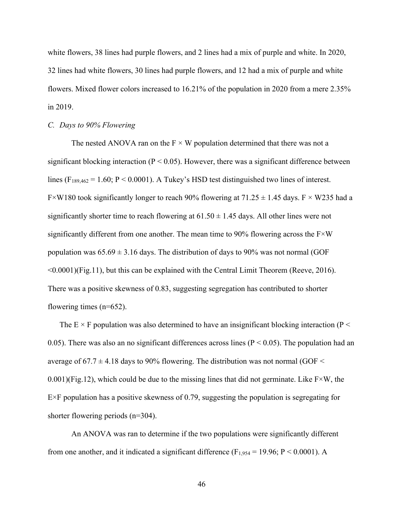white flowers, 38 lines had purple flowers, and 2 lines had a mix of purple and white. In 2020, 32 lines had white flowers, 30 lines had purple flowers, and 12 had a mix of purple and white flowers. Mixed flower colors increased to 16.21% of the population in 2020 from a mere 2.35% in 2019.

#### *C. Days to 90% Flowering*

The nested ANOVA ran on the  $F \times W$  population determined that there was not a significant blocking interaction ( $P < 0.05$ ). However, there was a significant difference between lines ( $F_{189,462} = 1.60$ ;  $P < 0.0001$ ). A Tukey's HSD test distinguished two lines of interest. F × W180 took significantly longer to reach 90% flowering at  $71.25 \pm 1.45$  days. F × W235 had a significantly shorter time to reach flowering at  $61.50 \pm 1.45$  days. All other lines were not significantly different from one another. The mean time to  $90\%$  flowering across the F $\times$ W population was  $65.69 \pm 3.16$  days. The distribution of days to 90% was not normal (GOF <0.0001)(Fig.11), but this can be explained with the Central Limit Theorem (Reeve, 2016). There was a positive skewness of 0.83, suggesting segregation has contributed to shorter flowering times (n=652).

The E  $\times$  F population was also determined to have an insignificant blocking interaction (P  $\le$ 0.05). There was also an no significant differences across lines ( $P < 0.05$ ). The population had an average of  $67.7 \pm 4.18$  days to 90% flowering. The distribution was not normal (GOF  $\le$  $(0.001)(Fig.12)$ , which could be due to the missing lines that did not germinate. Like  $F \times W$ , the E×F population has a positive skewness of 0.79, suggesting the population is segregating for shorter flowering periods (n=304).

An ANOVA was ran to determine if the two populations were significantly different from one another, and it indicated a significant difference ( $F_{1,954} = 19.96$ ;  $P < 0.0001$ ). A

46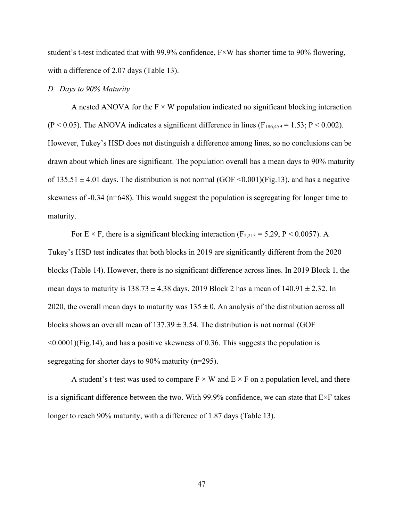student's t-test indicated that with 99.9% confidence, F×W has shorter time to 90% flowering, with a difference of 2.07 days (Table 13).

#### *D. Days to 90% Maturity*

A nested ANOVA for the  $F \times W$  population indicated no significant blocking interaction  $(P < 0.05)$ . The ANOVA indicates a significant difference in lines  $(F_{186,459} = 1.53; P < 0.002)$ . However, Tukey's HSD does not distinguish a difference among lines, so no conclusions can be drawn about which lines are significant. The population overall has a mean days to 90% maturity of  $135.51 \pm 4.01$  days. The distribution is not normal (GOF <0.001)(Fig.13), and has a negative skewness of -0.34 (n=648). This would suggest the population is segregating for longer time to maturity.

For E  $\times$  F, there is a significant blocking interaction (F<sub>2,213</sub> = 5.29, P < 0.0057). A Tukey's HSD test indicates that both blocks in 2019 are significantly different from the 2020 blocks (Table 14). However, there is no significant difference across lines. In 2019 Block 1, the mean days to maturity is  $138.73 \pm 4.38$  days. 2019 Block 2 has a mean of  $140.91 \pm 2.32$ . In 2020, the overall mean days to maturity was  $135 \pm 0$ . An analysis of the distribution across all blocks shows an overall mean of  $137.39 \pm 3.54$ . The distribution is not normal (GOF  $\leq 0.0001$ )(Fig.14), and has a positive skewness of 0.36. This suggests the population is segregating for shorter days to 90% maturity (n=295).

A student's t-test was used to compare  $F \times W$  and  $E \times F$  on a population level, and there is a significant difference between the two. With 99.9% confidence, we can state that E×F takes longer to reach 90% maturity, with a difference of 1.87 days (Table 13).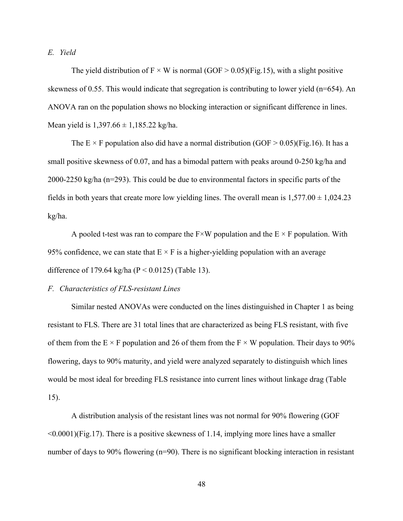*E. Yield*

The yield distribution of  $F \times W$  is normal (GOF  $> 0.05$ )(Fig.15), with a slight positive skewness of 0.55. This would indicate that segregation is contributing to lower yield (n=654). An ANOVA ran on the population shows no blocking interaction or significant difference in lines. Mean yield is  $1,397.66 \pm 1,185.22$  kg/ha.

The E  $\times$  F population also did have a normal distribution (GOF  $> 0.05$ )(Fig.16). It has a small positive skewness of 0.07, and has a bimodal pattern with peaks around 0-250 kg/ha and 2000-2250 kg/ha (n=293). This could be due to environmental factors in specific parts of the fields in both years that create more low yielding lines. The overall mean is  $1,577.00 \pm 1,024.23$ kg/ha.

A pooled t-test was ran to compare the  $F \times W$  population and the  $E \times F$  population. With 95% confidence, we can state that  $E \times F$  is a higher-yielding population with an average difference of 179.64 kg/ha ( $P < 0.0125$ ) (Table 13).

#### *F. Characteristics of FLS-resistant Lines*

Similar nested ANOVAs were conducted on the lines distinguished in Chapter 1 as being resistant to FLS. There are 31 total lines that are characterized as being FLS resistant, with five of them from the  $E \times F$  population and 26 of them from the  $F \times W$  population. Their days to 90% flowering, days to 90% maturity, and yield were analyzed separately to distinguish which lines would be most ideal for breeding FLS resistance into current lines without linkage drag (Table 15).

A distribution analysis of the resistant lines was not normal for 90% flowering (GOF <0.0001)(Fig.17). There is a positive skewness of 1.14, implying more lines have a smaller number of days to 90% flowering (n=90). There is no significant blocking interaction in resistant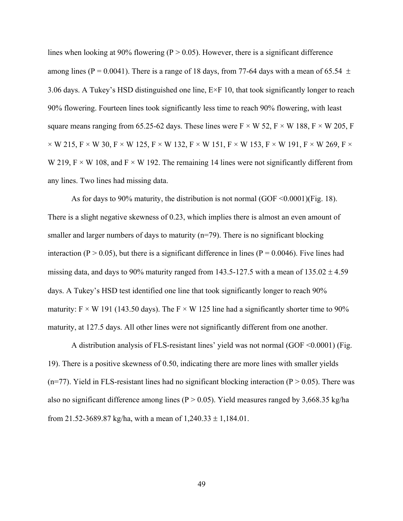lines when looking at 90% flowering ( $P > 0.05$ ). However, there is a significant difference among lines (P = 0.0041). There is a range of 18 days, from 77-64 days with a mean of 65.54  $\pm$ 3.06 days. A Tukey's HSD distinguished one line, E×F 10, that took significantly longer to reach 90% flowering. Fourteen lines took significantly less time to reach 90% flowering, with least square means ranging from 65.25-62 days. These lines were  $F \times W$  52,  $F \times W$  188,  $F \times W$  205, F  $\times$  W 215, F  $\times$  W 30, F  $\times$  W 125, F  $\times$  W 132, F  $\times$  W 151, F  $\times$  W 153, F  $\times$  W 191, F  $\times$  W 269, F  $\times$ W 219,  $F \times W$  108, and  $F \times W$  192. The remaining 14 lines were not significantly different from any lines. Two lines had missing data.

As for days to 90% maturity, the distribution is not normal (GOF <0.0001)(Fig. 18). There is a slight negative skewness of 0.23, which implies there is almost an even amount of smaller and larger numbers of days to maturity  $(n=79)$ . There is no significant blocking interaction (P > 0.05), but there is a significant difference in lines (P = 0.0046). Five lines had missing data, and days to 90% maturity ranged from 143.5-127.5 with a mean of  $135.02 \pm 4.59$ days. A Tukey's HSD test identified one line that took significantly longer to reach 90% maturity:  $F \times W$  191 (143.50 days). The  $F \times W$  125 line had a significantly shorter time to 90% maturity, at 127.5 days. All other lines were not significantly different from one another.

A distribution analysis of FLS-resistant lines' yield was not normal (GOF <0.0001) (Fig. 19). There is a positive skewness of 0.50, indicating there are more lines with smaller yields (n=77). Yield in FLS-resistant lines had no significant blocking interaction ( $P > 0.05$ ). There was also no significant difference among lines ( $P > 0.05$ ). Yield measures ranged by 3,668.35 kg/ha from 21.52-3689.87 kg/ha, with a mean of  $1,240.33 \pm 1,184.01$ .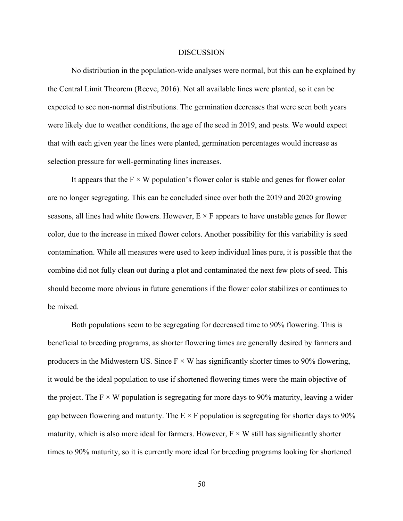#### DISCUSSION

No distribution in the population-wide analyses were normal, but this can be explained by the Central Limit Theorem (Reeve, 2016). Not all available lines were planted, so it can be expected to see non-normal distributions. The germination decreases that were seen both years were likely due to weather conditions, the age of the seed in 2019, and pests. We would expect that with each given year the lines were planted, germination percentages would increase as selection pressure for well-germinating lines increases.

It appears that the  $F \times W$  population's flower color is stable and genes for flower color are no longer segregating. This can be concluded since over both the 2019 and 2020 growing seasons, all lines had white flowers. However,  $E \times F$  appears to have unstable genes for flower color, due to the increase in mixed flower colors. Another possibility for this variability is seed contamination. While all measures were used to keep individual lines pure, it is possible that the combine did not fully clean out during a plot and contaminated the next few plots of seed. This should become more obvious in future generations if the flower color stabilizes or continues to be mixed.

Both populations seem to be segregating for decreased time to 90% flowering. This is beneficial to breeding programs, as shorter flowering times are generally desired by farmers and producers in the Midwestern US. Since  $F \times W$  has significantly shorter times to 90% flowering, it would be the ideal population to use if shortened flowering times were the main objective of the project. The  $F \times W$  population is segregating for more days to 90% maturity, leaving a wider gap between flowering and maturity. The  $E \times F$  population is segregating for shorter days to 90% maturity, which is also more ideal for farmers. However,  $F \times W$  still has significantly shorter times to 90% maturity, so it is currently more ideal for breeding programs looking for shortened

50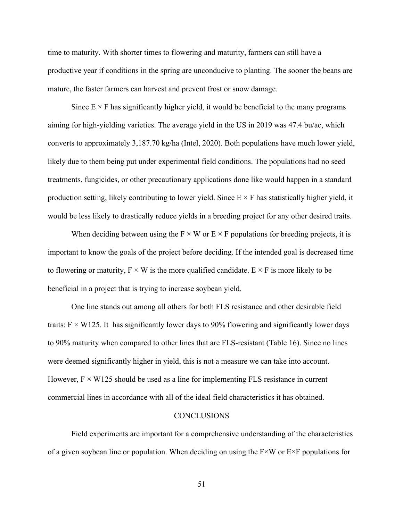time to maturity. With shorter times to flowering and maturity, farmers can still have a productive year if conditions in the spring are unconducive to planting. The sooner the beans are mature, the faster farmers can harvest and prevent frost or snow damage.

Since  $E \times F$  has significantly higher yield, it would be beneficial to the many programs aiming for high-yielding varieties. The average yield in the US in 2019 was 47.4 bu/ac, which converts to approximately 3,187.70 kg/ha (Intel, 2020). Both populations have much lower yield, likely due to them being put under experimental field conditions. The populations had no seed treatments, fungicides, or other precautionary applications done like would happen in a standard production setting, likely contributing to lower yield. Since  $E \times F$  has statistically higher yield, it would be less likely to drastically reduce yields in a breeding project for any other desired traits.

When deciding between using the  $F \times W$  or  $E \times F$  populations for breeding projects, it is important to know the goals of the project before deciding. If the intended goal is decreased time to flowering or maturity,  $F \times W$  is the more qualified candidate.  $E \times F$  is more likely to be beneficial in a project that is trying to increase soybean yield.

One line stands out among all others for both FLS resistance and other desirable field traits:  $F \times W125$ . It has significantly lower days to 90% flowering and significantly lower days to 90% maturity when compared to other lines that are FLS-resistant (Table 16). Since no lines were deemed significantly higher in yield, this is not a measure we can take into account. However,  $F \times W125$  should be used as a line for implementing FLS resistance in current commercial lines in accordance with all of the ideal field characteristics it has obtained.

#### **CONCLUSIONS**

Field experiments are important for a comprehensive understanding of the characteristics of a given soybean line or population. When deciding on using the  $F \times W$  or  $E \times F$  populations for

51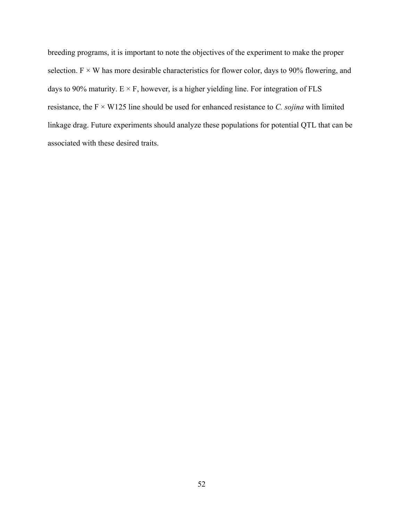breeding programs, it is important to note the objectives of the experiment to make the proper selection.  $F \times W$  has more desirable characteristics for flower color, days to 90% flowering, and days to 90% maturity.  $E \times F$ , however, is a higher yielding line. For integration of FLS resistance, the F × W125 line should be used for enhanced resistance to *C. sojina* with limited linkage drag. Future experiments should analyze these populations for potential QTL that can be associated with these desired traits.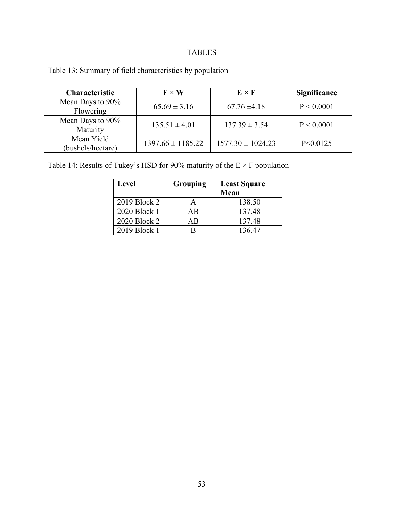### TABLES

| Table 13: Summary of field characteristics by population |  |  |  |
|----------------------------------------------------------|--|--|--|
|----------------------------------------------------------|--|--|--|

| <b>Characteristic</b>           | $\mathbf{F}\times\mathbf{W}$ | $E \times F$          | <b>Significance</b> |
|---------------------------------|------------------------------|-----------------------|---------------------|
| Mean Days to 90%<br>Flowering   | $65.69 \pm 3.16$             | $67.76 \pm 4.18$      | P < 0.0001          |
| Mean Days to 90%<br>Maturity    | $135.51 \pm 4.01$            | $137.39 \pm 3.54$     | P < 0.0001          |
| Mean Yield<br>(bushels/hectare) | $1397.66 \pm 1185.22$        | $1577.30 \pm 1024.23$ | P<0.0125            |

Table 14: Results of Tukey's HSD for 90% maturity of the  $E \times F$  population

| <b>Level</b> | Grouping | <b>Least Square</b><br>Mean |
|--------------|----------|-----------------------------|
| 2019 Block 2 | А        | 138.50                      |
| 2020 Block 1 | AB       | 137.48                      |
| 2020 Block 2 | ΑB       | 137.48                      |
| 2019 Block 1 |          | 136.47                      |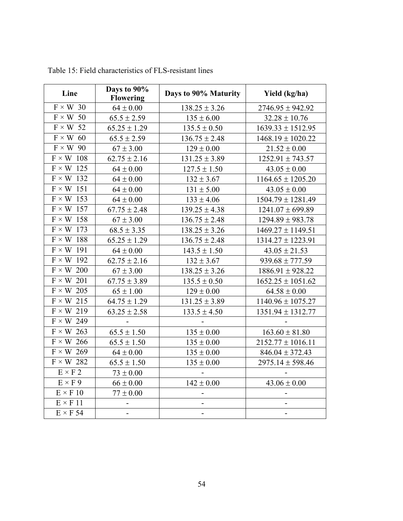| Line             | Days to 90%<br><b>Flowering</b> | Days to 90% Maturity     | Yield (kg/ha)            |
|------------------|---------------------------------|--------------------------|--------------------------|
| $F \times W$ 30  | $64 \pm 0.00$                   | $138.25 \pm 3.26$        | $2746.95 \pm 942.92$     |
| $F \times W$ 50  | $65.5 \pm 2.59$                 | $135 \pm 6.00$           | $32.28 \pm 10.76$        |
| $F \times W$ 52  | $65.25 \pm 1.29$                | $135.5 \pm 0.50$         | $1639.33 \pm 1512.95$    |
| $F \times W$ 60  | $65.5 \pm 2.59$                 | $136.75 \pm 2.48$        | $1468.19 \pm 1020.22$    |
| $F \times W$ 90  | $67 \pm 3.00$                   | $129 \pm 0.00$           | $21.52 \pm 0.00$         |
| $F \times W$ 108 | $62.75 \pm 2.16$                | $131.25 \pm 3.89$        | $1252.91 \pm 743.57$     |
| $F \times W$ 125 | $64 \pm 0.00$                   | $127.5 \pm 1.50$         | $43.05 \pm 0.00$         |
| $F \times W$ 132 | $64 \pm 0.00$                   | $132 \pm 3.67$           | $1164.65 \pm 1205.20$    |
| $F \times W$ 151 | $64 \pm 0.00$                   | $131 \pm 5.00$           | $43.05 \pm 0.00$         |
| $F \times W$ 153 | $64 \pm 0.00$                   | $133 \pm 4.06$           | $1504.79 \pm 1281.49$    |
| $F \times W$ 157 | $67.75 \pm 2.48$                | $139.25 \pm 4.38$        | $1241.07 \pm 699.89$     |
| $F \times W$ 158 | $67 \pm 3.00$                   | $136.75 \pm 2.48$        | $1294.89 \pm 983.78$     |
| $F \times W$ 173 | $68.5 \pm 3.35$                 | $138.25 \pm 3.26$        | $1469.27 \pm 1149.51$    |
| $F \times W$ 188 | $65.25 \pm 1.29$                | $136.75 \pm 2.48$        | $1314.27 \pm 1223.91$    |
| $F \times W$ 191 | $64 \pm 0.00$                   | $143.5 \pm 1.50$         | $43.05 \pm 21.53$        |
| $F \times W$ 192 | $62.75 \pm 2.16$                | $132 \pm 3.67$           | $939.68 \pm 777.59$      |
| $F \times W$ 200 | $67 \pm 3.00$                   | $138.25 \pm 3.26$        | $1886.91 \pm 928.22$     |
| $F \times W$ 201 | $67.75 \pm 3.89$                | $135.5 \pm 0.50$         | $1652.25 \pm 1051.62$    |
| $F \times W$ 205 | $65 \pm 1.00$                   | $129 \pm 0.00$           | $64.58 \pm 0.00$         |
| $F \times W$ 215 | $64.75 \pm 1.29$                | $131.25 \pm 3.89$        | $1140.96 \pm 1075.27$    |
| $F \times W$ 219 | $63.25 \pm 2.58$                | $133.5 \pm 4.50$         | $1351.94 \pm 1312.77$    |
| $F \times W$ 249 |                                 |                          |                          |
| $F \times W$ 263 | $65.5 \pm 1.50$                 | $135 \pm 0.00$           | $163.60 \pm 81.80$       |
| $F \times W$ 266 | $65.5 \pm 1.50$                 | $135 \pm 0.00$           | $2152.77 \pm 1016.11$    |
| $F \times W$ 269 | $64 \pm 0.00$                   | $135 \pm 0.00$           | $846.04 \pm 372.43$      |
| $F \times W$ 282 | $65.5 \pm 1.50$                 | $135 \pm 0.00$           | $2975.14 \pm 598.46$     |
| $E \times F$ 2   | $73 \pm 0.00$                   |                          |                          |
| $E \times F$ 9   | $66 \pm 0.00$                   | $142 \pm 0.00$           | $43.06 \pm 0.00$         |
| $E \times F$ 10  | $77 \pm 0.00$                   | $\overline{\phantom{0}}$ | -                        |
| $E \times F$ 11  |                                 | -                        | $\overline{\phantom{0}}$ |
| $E \times F$ 54  | $\blacksquare$                  | $\overline{\phantom{0}}$ | $\blacksquare$           |

Table 15: Field characteristics of FLS-resistant lines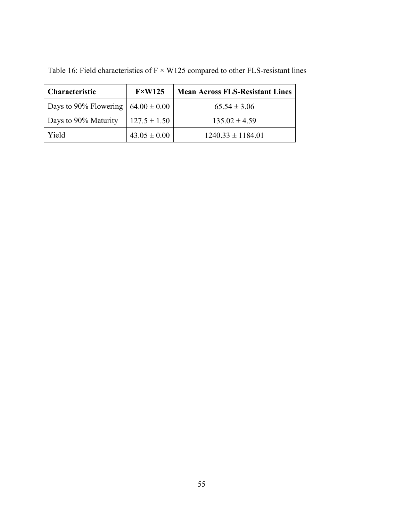| <b>Characteristic</b>                  | $F \times W125$  | <b>Mean Across FLS-Resistant Lines</b> |
|----------------------------------------|------------------|----------------------------------------|
| Days to 90% Flowering $64.00 \pm 0.00$ |                  | $65.54 \pm 3.06$                       |
| Days to 90% Maturity                   | $127.5 \pm 1.50$ | $135.02 \pm 4.59$                      |
| Yield                                  | $43.05 \pm 0.00$ | $1240.33 \pm 1184.01$                  |

Table 16: Field characteristics of  $F \times W125$  compared to other FLS-resistant lines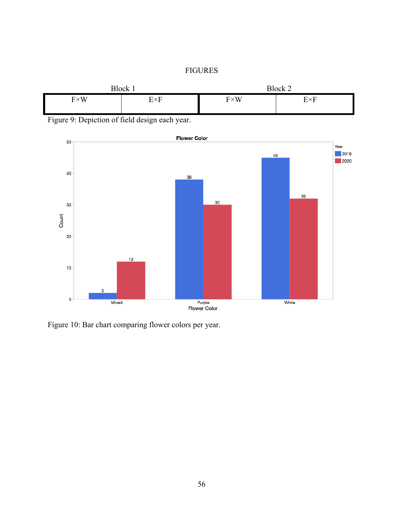## FIGURES



Figure 9: Depiction of field design each year.



Figure 10: Bar chart comparing flower colors per year.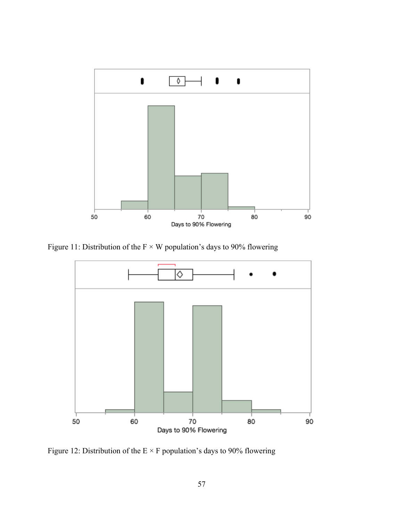

Figure 11: Distribution of the  $F \times W$  population's days to 90% flowering



Figure 12: Distribution of the  $E \times F$  population's days to 90% flowering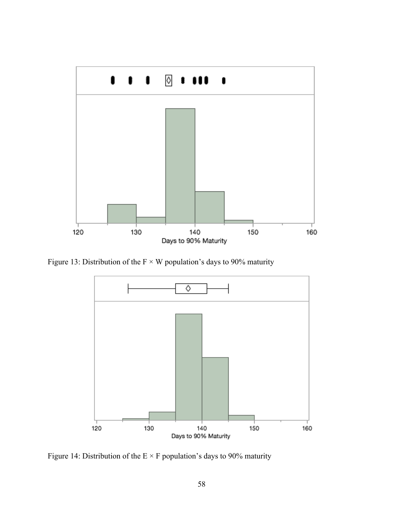

Figure 13: Distribution of the  $F \times W$  population's days to 90% maturity



Figure 14: Distribution of the  $E \times F$  population's days to 90% maturity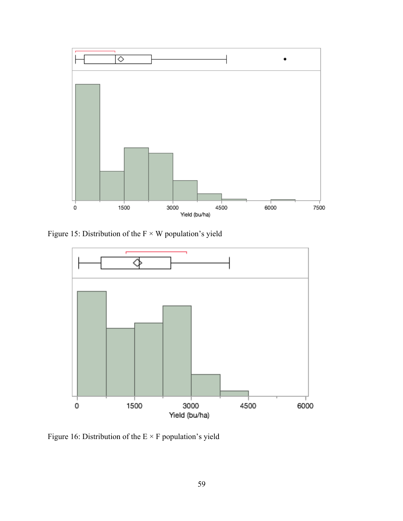

Figure 15: Distribution of the  $F \times W$  population's yield



Figure 16: Distribution of the  $E\times F$  population's yield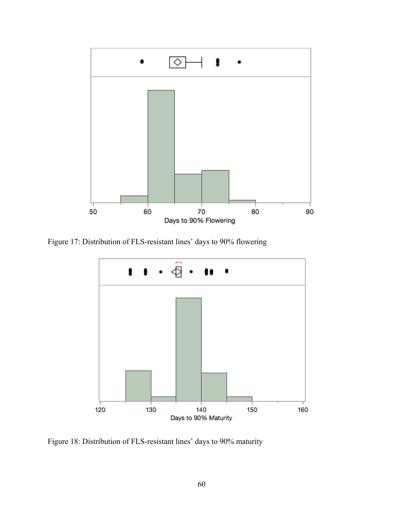

Figure 17: Distribution of FLS-resistant lines' days to 90% flowering



Figure 18: Distribution of FLS-resistant lines' days to 90% maturity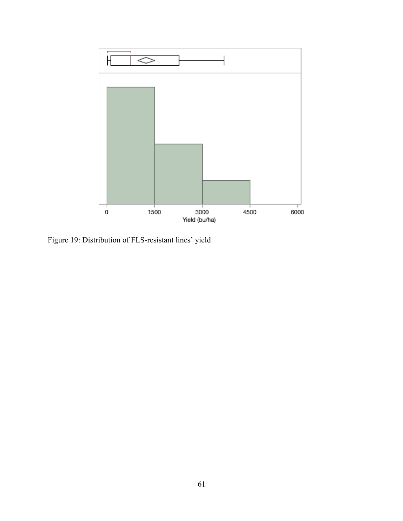

Figure 19: Distribution of FLS-resistant lines' yield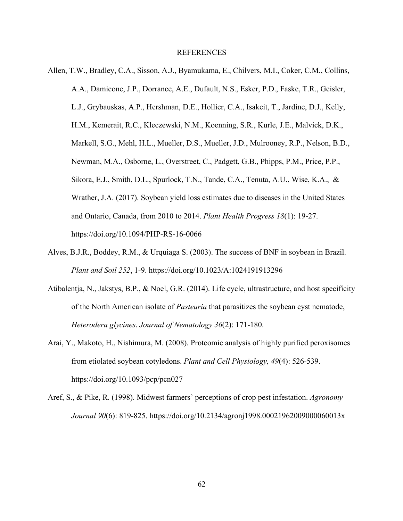#### REFERENCES

- Allen, T.W., Bradley, C.A., Sisson, A.J., Byamukama, E., Chilvers, M.I., Coker, C.M., Collins, A.A., Damicone, J.P., Dorrance, A.E., Dufault, N.S., Esker, P.D., Faske, T.R., Geisler, L.J., Grybauskas, A.P., Hershman, D.E., Hollier, C.A., Isakeit, T., Jardine, D.J., Kelly, H.M., Kemerait, R.C., Kleczewski, N.M., Koenning, S.R., Kurle, J.E., Malvick, D.K., Markell, S.G., Mehl, H.L., Mueller, D.S., Mueller, J.D., Mulrooney, R.P., Nelson, B.D., Newman, M.A., Osborne, L., Overstreet, C., Padgett, G.B., Phipps, P.M., Price, P.P., Sikora, E.J., Smith, D.L., Spurlock, T.N., Tande, C.A., Tenuta, A.U., Wise, K.A., & Wrather, J.A. (2017). Soybean yield loss estimates due to diseases in the United States and Ontario, Canada, from 2010 to 2014. *Plant Health Progress 18*(1): 19-27. https://doi.org/10.1094/PHP-RS-16-0066
- Alves, B.J.R., Boddey, R.M., & Urquiaga S. (2003). The success of BNF in soybean in Brazil. *Plant and Soil 252*, 1-9. https://doi.org/10.1023/A:1024191913296
- Atibalentja, N., Jakstys, B.P., & Noel, G.R. (2014). Life cycle, ultrastructure, and host specificity of the North American isolate of *Pasteuria* that parasitizes the soybean cyst nematode, *Heterodera glycines*. *Journal of Nematology 36*(2): 171-180.
- Arai, Y., Makoto, H., Nishimura, M. (2008). Proteomic analysis of highly purified peroxisomes from etiolated soybean cotyledons. *Plant and Cell Physiology, 49*(4): 526-539. https://doi.org/10.1093/pcp/pcn027
- Aref, S., & Pike, R. (1998). Midwest farmers' perceptions of crop pest infestation. *Agronomy Journal 90*(6): 819-825. https://doi.org/10.2134/agronj1998.00021962009000060013x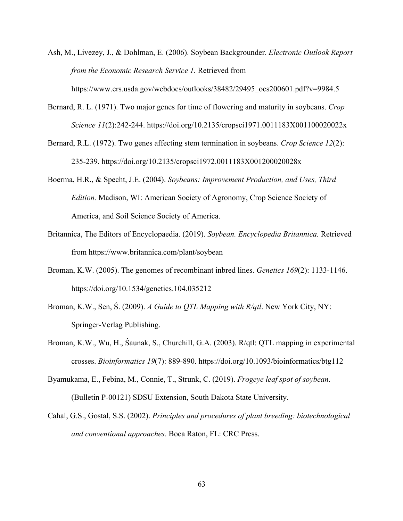- Ash, M., Livezey, J., & Dohlman, E. (2006). Soybean Backgrounder. *Electronic Outlook Report from the Economic Research Service 1.* Retrieved from https://www.ers.usda.gov/webdocs/outlooks/38482/29495\_ocs200601.pdf?v=9984.5
- Bernard, R. L. (1971). Two major genes for time of flowering and maturity in soybeans. *Crop Science 11*(2):242-244. https://doi.org/10.2135/cropsci1971.0011183X001100020022x
- Bernard, R.L. (1972). Two genes affecting stem termination in soybeans. *Crop Science 12*(2): 235-239. https://doi.org/10.2135/cropsci1972.0011183X001200020028x
- Boerma, H.R., & Specht, J.E. (2004). *Soybeans: Improvement Production, and Uses, Third Edition.* Madison, WI: American Society of Agronomy, Crop Science Society of America, and Soil Science Society of America.
- Britannica, The Editors of Encyclopaedia. (2019). *Soybean. Encyclopedia Britannica.* Retrieved from https://www.britannica.com/plant/soybean
- Broman, K.W. (2005). The genomes of recombinant inbred lines. *Genetics 169*(2): 1133-1146. https://doi.org/10.1534/genetics.104.035212
- Broman, K.W., Sen, Ś. (2009). *A Guide to QTL Mapping with R/qtl*. New York City, NY: Springer-Verlag Publishing.
- Broman, K.W., Wu, H., Śaunak, S., Churchill, G.A. (2003). R/qtl: QTL mapping in experimental crosses. *Bioinformatics 19*(7): 889-890. https://doi.org/10.1093/bioinformatics/btg112
- Byamukama, E., Febina, M., Connie, T., Strunk, C. (2019). *Frogeye leaf spot of soybean*. (Bulletin P-00121) SDSU Extension, South Dakota State University.
- Cahal, G.S., Gostal, S.S. (2002). *Principles and procedures of plant breeding: biotechnological and conventional approaches.* Boca Raton, FL: CRC Press.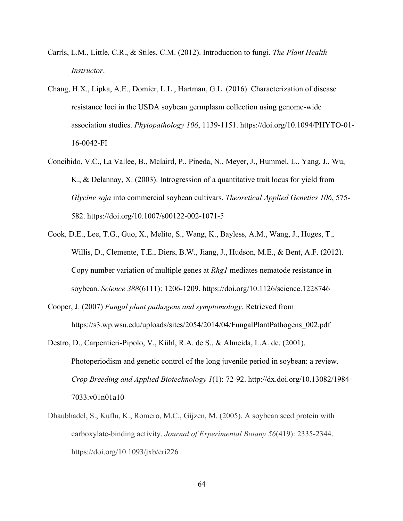- Carrls, L.M., Little, C.R., & Stiles, C.M. (2012). Introduction to fungi. *The Plant Health Instructor*.
- Chang, H.X., Lipka, A.E., Domier, L.L., Hartman, G.L. (2016). Characterization of disease resistance loci in the USDA soybean germplasm collection using genome-wide association studies. *Phytopathology 106*, 1139-1151. https://doi.org/10.1094/PHYTO-01- 16-0042-FI
- Concibido, V.C., La Vallee, B., Mclaird, P., Pineda, N., Meyer, J., Hummel, L., Yang, J., Wu, K., & Delannay, X. (2003). Introgression of a quantitative trait locus for yield from *Glycine soja* into commercial soybean cultivars. *Theoretical Applied Genetics 106*, 575- 582. https://doi.org/10.1007/s00122-002-1071-5
- Cook, D.E., Lee, T.G., Guo, X., Melito, S., Wang, K., Bayless, A.M., Wang, J., Huges, T., Willis, D., Clemente, T.E., Diers, B.W., Jiang, J., Hudson, M.E., & Bent, A.F. (2012). Copy number variation of multiple genes at *Rhg1* mediates nematode resistance in soybean. *Science 388*(6111): 1206-1209. https://doi.org/10.1126/science.1228746
- Cooper, J. (2007) *Fungal plant pathogens and symptomology*. Retrieved from https://s3.wp.wsu.edu/uploads/sites/2054/2014/04/FungalPlantPathogens\_002.pdf
- Destro, D., Carpentieri-Pipolo, V., Kiihl, R.A. de S., & Almeida, L.A. de. (2001). Photoperiodism and genetic control of the long juvenile period in soybean: a review. *Crop Breeding and Applied Biotechnology 1*(1): 72-92. http://dx.doi.org/10.13082/1984- 7033.v01n01a10
- Dhaubhadel, S., Kuflu, K., Romero, M.C., Gijzen, M. (2005). A soybean seed protein with carboxylate-binding activity. *Journal of Experimental Botany 56*(419): 2335-2344. https://doi.org/10.1093/jxb/eri226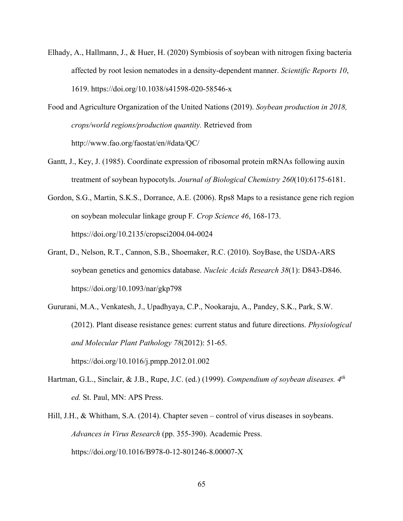- Elhady, A., Hallmann, J., & Huer, H. (2020) Symbiosis of soybean with nitrogen fixing bacteria affected by root lesion nematodes in a density-dependent manner. *Scientific Reports 10*, 1619. https://doi.org/10.1038/s41598-020-58546-x
- Food and Agriculture Organization of the United Nations (2019). *Soybean production in 2018, crops/world regions/production quantity.* Retrieved from http://www.fao.org/faostat/en/#data/QC/
- Gantt, J., Key, J. (1985). Coordinate expression of ribosomal protein mRNAs following auxin treatment of soybean hypocotyls. *Journal of Biological Chemistry 260*(10):6175-6181.
- Gordon, S.G., Martin, S.K.S., Dorrance, A.E. (2006). Rps8 Maps to a resistance gene rich region on soybean molecular linkage group F*. Crop Science 46*, 168-173. https://doi.org/10.2135/cropsci2004.04-0024
- Grant, D., Nelson, R.T., Cannon, S.B., Shoemaker, R.C. (2010). SoyBase, the USDA-ARS soybean genetics and genomics database. *Nucleic Acids Research 38*(1): D843-D846. https://doi.org/10.1093/nar/gkp798
- Gururani, M.A., Venkatesh, J., Upadhyaya, C.P., Nookaraju, A., Pandey, S.K., Park, S.W. (2012). Plant disease resistance genes: current status and future directions. *Physiological and Molecular Plant Pathology 78*(2012): 51-65. https://doi.org/10.1016/j.pmpp.2012.01.002
- Hartman, G.L., Sinclair, & J.B., Rupe, J.C. (ed.) (1999). *Compendium of soybean diseases. 4th ed.* St. Paul, MN: APS Press.
- Hill, J.H., & Whitham, S.A. (2014). Chapter seven control of virus diseases in soybeans. *Advances in Virus Research* (pp. 355-390). Academic Press. https://doi.org/10.1016/B978-0-12-801246-8.00007-X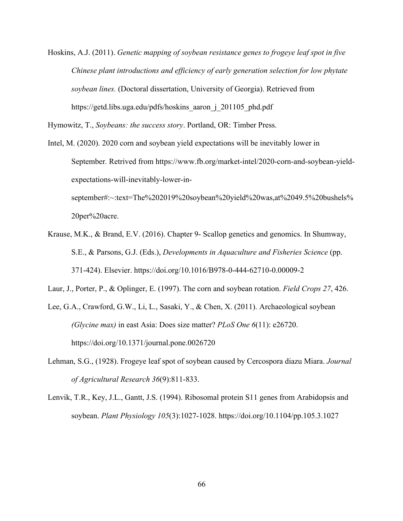Hoskins, A.J. (2011). *Genetic mapping of soybean resistance genes to frogeye leaf spot in five Chinese plant introductions and efficiency of early generation selection for low phytate soybean lines.* (Doctoral dissertation, University of Georgia). Retrieved from https://getd.libs.uga.edu/pdfs/hoskins\_aaron\_j\_201105\_phd.pdf

Hymowitz, T., *Soybeans: the success story*. Portland, OR: Timber Press.

- Intel, M. (2020). 2020 corn and soybean yield expectations will be inevitably lower in September*.* Retrived from https://www.fb.org/market-intel/2020-corn-and-soybean-yieldexpectations-will-inevitably-lower-inseptember#:~:text=The%202019%20soybean%20yield%20was,at%2049.5%20bushels% 20per%20acre.
- Krause, M.K., & Brand, E.V. (2016). Chapter 9- Scallop genetics and genomics. In Shumway, S.E., & Parsons, G.J. (Eds.), *Developments in Aquaculture and Fisheries Science* (pp. 371-424). Elsevier. https://doi.org/10.1016/B978-0-444-62710-0.00009-2
- Laur, J., Porter, P., & Oplinger, E. (1997). The corn and soybean rotation. *Field Crops 27*, 426.
- Lee, G.A., Crawford, G.W., Li, L., Sasaki, Y., & Chen, X. (2011). Archaeological soybean *(Glycine max)* in east Asia: Does size matter? *PLoS One 6*(11): e26720. https://doi.org/10.1371/journal.pone.0026720
- Lehman, S.G., (1928). Frogeye leaf spot of soybean caused by Cercospora diazu Miara. *Journal of Agricultural Research 36*(9):811-833.
- Lenvik, T.R., Key, J.L., Gantt, J.S. (1994). Ribosomal protein S11 genes from Arabidopsis and soybean. *Plant Physiology 105*(3):1027-1028. https://doi.org/10.1104/pp.105.3.1027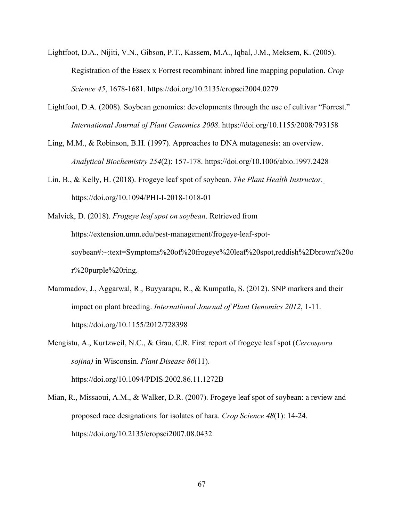- Lightfoot, D.A., Nijiti, V.N., Gibson, P.T., Kassem, M.A., Iqbal, J.M., Meksem, K. (2005). Registration of the Essex x Forrest recombinant inbred line mapping population. *Crop Science 45*, 1678-1681. https://doi.org/10.2135/cropsci2004.0279
- Lightfoot, D.A. (2008). Soybean genomics: developments through the use of cultivar "Forrest." *International Journal of Plant Genomics 2008*. https://doi.org/10.1155/2008/793158
- Ling, M.M., & Robinson, B.H. (1997). Approaches to DNA mutagenesis: an overview. *Analytical Biochemistry 254*(2): 157-178. https://doi.org/10.1006/abio.1997.2428
- Lin, B., & Kelly, H. (2018). Frogeye leaf spot of soybean. *The Plant Health Instructor.* https://doi.org/10.1094/PHI-I-2018-1018-01
- Malvick, D. (2018). *Frogeye leaf spot on soybean*. Retrieved from https://extension.umn.edu/pest-management/frogeye-leaf-spotsoybean#:~:text=Symptoms%20of%20frogeye%20leaf%20spot,reddish%2Dbrown%20o r%20purple%20ring.
- Mammadov, J., Aggarwal, R., Buyyarapu, R., & Kumpatla, S. (2012). SNP markers and their impact on plant breeding. *International Journal of Plant Genomics 2012*, 1-11. https://doi.org/10.1155/2012/728398
- Mengistu, A., Kurtzweil, N.C., & Grau, C.R. First report of frogeye leaf spot (*Cercospora sojina)* in Wisconsin. *Plant Disease 86*(11). https://doi.org/10.1094/PDIS.2002.86.11.1272B
- Mian, R., Missaoui, A.M., & Walker, D.R. (2007). Frogeye leaf spot of soybean: a review and proposed race designations for isolates of hara. *Crop Science 48*(1): 14-24. https://doi.org/10.2135/cropsci2007.08.0432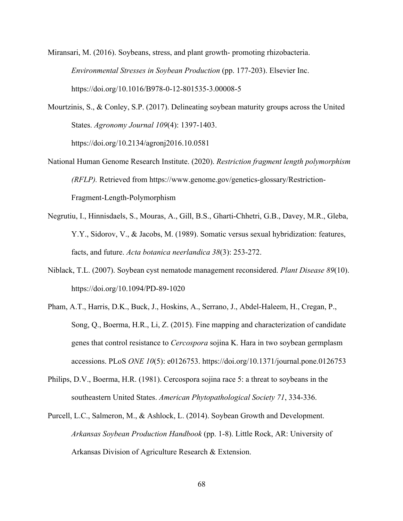Miransari, M. (2016). Soybeans, stress, and plant growth- promoting rhizobacteria. *Environmental Stresses in Soybean Production* (pp. 177-203). Elsevier Inc. https://doi.org/10.1016/B978-0-12-801535-3.00008-5

Mourtzinis, S., & Conley, S.P. (2017). Delineating soybean maturity groups across the United States. *Agronomy Journal 109*(4): 1397-1403.

https://doi.org/10.2134/agronj2016.10.0581

- National Human Genome Research Institute. (2020). *Restriction fragment length polymorphism (RFLP).* Retrieved from https://www.genome.gov/genetics-glossary/Restriction-Fragment-Length-Polymorphism
- Negrutiu, I., Hinnisdaels, S., Mouras, A., Gill, B.S., Gharti-Chhetri, G.B., Davey, M.R., Gleba, Y.Y., Sidorov, V., & Jacobs, M. (1989). Somatic versus sexual hybridization: features, facts, and future. *Acta botanica neerlandica 38*(3): 253-272.
- Niblack, T.L. (2007). Soybean cyst nematode management reconsidered. *Plant Disease 89*(10). https://doi.org/10.1094/PD-89-1020
- Pham, A.T., Harris, D.K., Buck, J., Hoskins, A., Serrano, J., Abdel-Haleem, H., Cregan, P., Song, Q., Boerma, H.R., Li, Z. (2015). Fine mapping and characterization of candidate genes that control resistance to *Cercospora* sojina K. Hara in two soybean germplasm accessions. PLoS *ONE 10*(5): e0126753. https://doi.org/10.1371/journal.pone.0126753
- Philips, D.V., Boerma, H.R. (1981). Cercospora sojina race 5: a threat to soybeans in the southeastern United States. *American Phytopathological Society 71*, 334-336.
- Purcell, L.C., Salmeron, M., & Ashlock, L. (2014). Soybean Growth and Development. *Arkansas Soybean Production Handbook* (pp. 1-8). Little Rock, AR: University of Arkansas Division of Agriculture Research & Extension.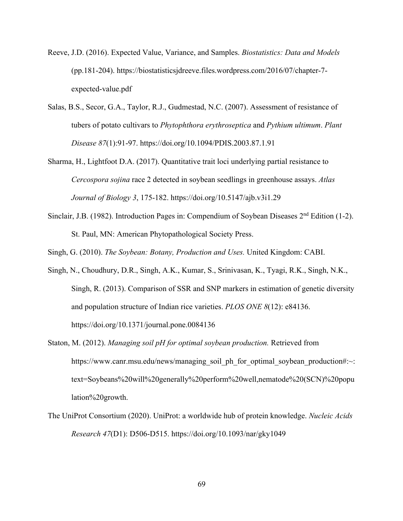- Reeve, J.D. (2016). Expected Value, Variance, and Samples. *Biostatistics: Data and Models* (pp.181-204). https://biostatisticsjdreeve.files.wordpress.com/2016/07/chapter-7 expected-value.pdf
- Salas, B.S., Secor, G.A., Taylor, R.J., Gudmestad, N.C. (2007). Assessment of resistance of tubers of potato cultivars to *Phytophthora erythroseptica* and *Pythium ultimum*. *Plant Disease 87*(1):91-97. https://doi.org/10.1094/PDIS.2003.87.1.91
- Sharma, H., Lightfoot D.A. (2017). Quantitative trait loci underlying partial resistance to *Cercospora sojina* race 2 detected in soybean seedlings in greenhouse assays. *Atlas Journal of Biology 3*, 175-182. https://doi.org/10.5147/ajb.v3i1.29
- Sinclair, J.B. (1982). Introduction Pages in: Compendium of Soybean Diseases  $2<sup>nd</sup>$  Edition (1-2). St. Paul, MN: American Phytopathological Society Press.

Singh, G. (2010). *The Soybean: Botany, Production and Uses.* United Kingdom: CABI.

- Singh, N., Choudhury, D.R., Singh, A.K., Kumar, S., Srinivasan, K., Tyagi, R.K., Singh, N.K., Singh, R. (2013). Comparison of SSR and SNP markers in estimation of genetic diversity and population structure of Indian rice varieties. *PLOS ONE 8*(12): e84136. https://doi.org/10.1371/journal.pone.0084136
- Staton, M. (2012). *Managing soil pH for optimal soybean production.* Retrieved from https://www.canr.msu.edu/news/managing\_soil\_ph\_for\_optimal\_soybean\_production#:~: text=Soybeans%20will%20generally%20perform%20well,nematode%20(SCN)%20popu lation%20growth.
- The UniProt Consortium (2020). UniProt: a worldwide hub of protein knowledge. *Nucleic Acids Research 47*(D1): D506-D515. https://doi.org/10.1093/nar/gky1049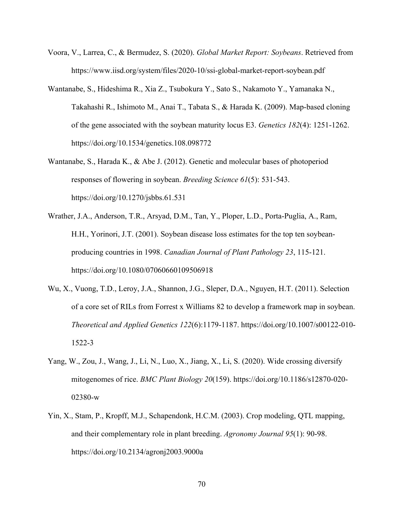- Voora, V., Larrea, C., & Bermudez, S. (2020). *Global Market Report: Soybeans*. Retrieved from https://www.iisd.org/system/files/2020-10/ssi-global-market-report-soybean.pdf
- Wantanabe, S., Hideshima R., Xia Z., Tsubokura Y., Sato S., Nakamoto Y., Yamanaka N., Takahashi R., Ishimoto M., Anai T., Tabata S., & Harada K. (2009). Map-based cloning of the gene associated with the soybean maturity locus E3. *Genetics 182*(4): 1251-1262. https://doi.org/10.1534/genetics.108.098772
- Wantanabe, S., Harada K., & Abe J. (2012). Genetic and molecular bases of photoperiod responses of flowering in soybean. *Breeding Science 61*(5): 531-543. https://doi.org/10.1270/jsbbs.61.531
- Wrather, J.A., Anderson, T.R., Arsyad, D.M., Tan, Y., Ploper, L.D., Porta-Puglia, A., Ram, H.H., Yorinori, J.T. (2001). Soybean disease loss estimates for the top ten soybeanproducing countries in 1998. *Canadian Journal of Plant Pathology 23*, 115-121. https://doi.org/10.1080/07060660109506918
- Wu, X., Vuong, T.D., Leroy, J.A., Shannon, J.G., Sleper, D.A., Nguyen, H.T. (2011). Selection of a core set of RILs from Forrest x Williams 82 to develop a framework map in soybean. *Theoretical and Applied Genetics 122*(6):1179-1187. https://doi.org/10.1007/s00122-010- 1522-3
- Yang, W., Zou, J., Wang, J., Li, N., Luo, X., Jiang, X., Li, S. (2020). Wide crossing diversify mitogenomes of rice. *BMC Plant Biology 20*(159). https://doi.org/10.1186/s12870-020- 02380-w
- Yin, X., Stam, P., Kropff, M.J., Schapendonk, H.C.M. (2003). Crop modeling, QTL mapping, and their complementary role in plant breeding. *Agronomy Journal 95*(1): 90-98. https://doi.org/10.2134/agronj2003.9000a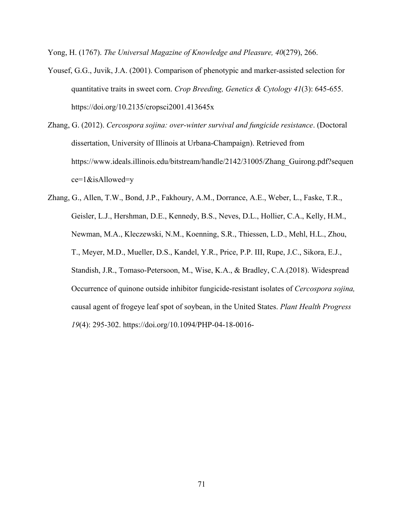Yong, H. (1767). *The Universal Magazine of Knowledge and Pleasure, 40*(279), 266.

- Yousef, G.G., Juvik, J.A. (2001). Comparison of phenotypic and marker-assisted selection for quantitative traits in sweet corn. *Crop Breeding, Genetics & Cytology 41*(3): 645-655. https://doi.org/10.2135/cropsci2001.413645x
- Zhang, G. (2012). *Cercospora sojina: over-winter survival and fungicide resistance*. (Doctoral dissertation, University of Illinois at Urbana-Champaign). Retrieved from https://www.ideals.illinois.edu/bitstream/handle/2142/31005/Zhang\_Guirong.pdf?sequen ce=1&isAllowed=y

Zhang, G., Allen, T.W., Bond, J.P., Fakhoury, A.M., Dorrance, A.E., Weber, L., Faske, T.R., Geisler, L.J., Hershman, D.E., Kennedy, B.S., Neves, D.L., Hollier, C.A., Kelly, H.M., Newman, M.A., Kleczewski, N.M., Koenning, S.R., Thiessen, L.D., Mehl, H.L., Zhou, T., Meyer, M.D., Mueller, D.S., Kandel, Y.R., Price, P.P. III, Rupe, J.C., Sikora, E.J., Standish, J.R., Tomaso-Petersoon, M., Wise, K.A., & Bradley, C.A.(2018). Widespread Occurrence of quinone outside inhibitor fungicide-resistant isolates of *Cercospora sojina,* causal agent of frogeye leaf spot of soybean, in the United States. *Plant Health Progress 19*(4): 295-302. https://doi.org/10.1094/PHP-04-18-0016-